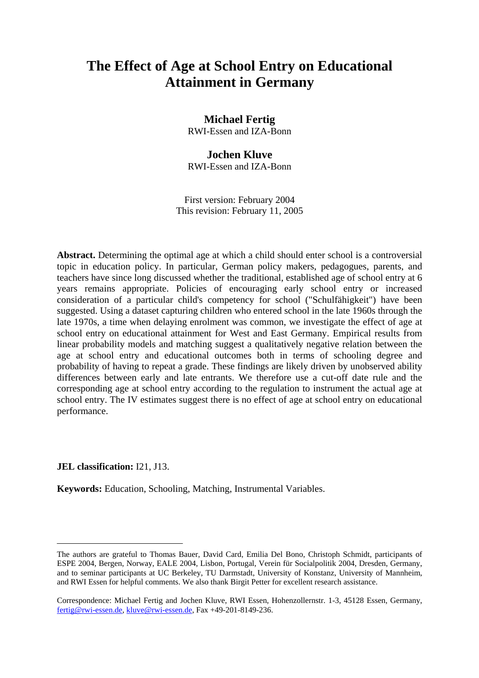# **The Effect of Age at School Entry on Educational Attainment in Germany**

**Michael Fertig**  RWI-Essen and IZA-Bonn

## **Jochen Kluve**

RWI-Essen and IZA-Bonn

First version: February 2004 This revision: February 11, 2005

**Abstract.** Determining the optimal age at which a child should enter school is a controversial topic in education policy. In particular, German policy makers, pedagogues, parents, and teachers have since long discussed whether the traditional, established age of school entry at 6 years remains appropriate. Policies of encouraging early school entry or increased consideration of a particular child's competency for school ("Schulfähigkeit") have been suggested. Using a dataset capturing children who entered school in the late 1960s through the late 1970s, a time when delaying enrolment was common, we investigate the effect of age at school entry on educational attainment for West and East Germany. Empirical results from linear probability models and matching suggest a qualitatively negative relation between the age at school entry and educational outcomes both in terms of schooling degree and probability of having to repeat a grade. These findings are likely driven by unobserved ability differences between early and late entrants. We therefore use a cut-off date rule and the corresponding age at school entry according to the regulation to instrument the actual age at school entry. The IV estimates suggest there is no effect of age at school entry on educational performance.

## **JEL classification:** I21, J13.

**Keywords:** Education, Schooling, Matching, Instrumental Variables.

The authors are grateful to Thomas Bauer, David Card, Emilia Del Bono, Christoph Schmidt, participants of ESPE 2004, Bergen, Norway, EALE 2004, Lisbon, Portugal, Verein für Socialpolitik 2004, Dresden, Germany, and to seminar participants at UC Berkeley, TU Darmstadt, University of Konstanz, University of Mannheim, and RWI Essen for helpful comments. We also thank Birgit Petter for excellent research assistance.

Correspondence: Michael Fertig and Jochen Kluve, RWI Essen, Hohenzollernstr. 1-3, 45128 Essen, Germany, fertig@rwi-essen.de, kluve@rwi-essen.de, Fax +49-201-8149-236.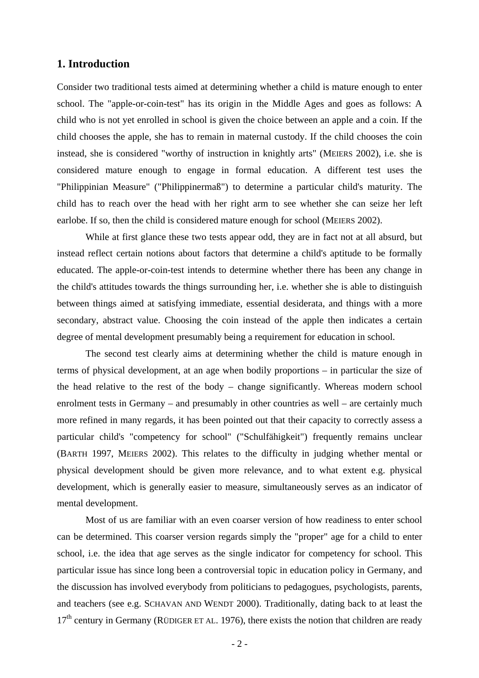## **1. Introduction**

Consider two traditional tests aimed at determining whether a child is mature enough to enter school. The "apple-or-coin-test" has its origin in the Middle Ages and goes as follows: A child who is not yet enrolled in school is given the choice between an apple and a coin. If the child chooses the apple, she has to remain in maternal custody. If the child chooses the coin instead, she is considered "worthy of instruction in knightly arts" (MEIERS 2002), i.e. she is considered mature enough to engage in formal education. A different test uses the "Philippinian Measure" ("Philippinermaß") to determine a particular child's maturity. The child has to reach over the head with her right arm to see whether she can seize her left earlobe. If so, then the child is considered mature enough for school (MEIERS 2002).

 While at first glance these two tests appear odd, they are in fact not at all absurd, but instead reflect certain notions about factors that determine a child's aptitude to be formally educated. The apple-or-coin-test intends to determine whether there has been any change in the child's attitudes towards the things surrounding her, i.e. whether she is able to distinguish between things aimed at satisfying immediate, essential desiderata, and things with a more secondary, abstract value. Choosing the coin instead of the apple then indicates a certain degree of mental development presumably being a requirement for education in school.

The second test clearly aims at determining whether the child is mature enough in terms of physical development, at an age when bodily proportions – in particular the size of the head relative to the rest of the body – change significantly. Whereas modern school enrolment tests in Germany – and presumably in other countries as well – are certainly much more refined in many regards, it has been pointed out that their capacity to correctly assess a particular child's "competency for school" ("Schulfähigkeit") frequently remains unclear (BARTH 1997, MEIERS 2002). This relates to the difficulty in judging whether mental or physical development should be given more relevance, and to what extent e.g. physical development, which is generally easier to measure, simultaneously serves as an indicator of mental development.

Most of us are familiar with an even coarser version of how readiness to enter school can be determined. This coarser version regards simply the "proper" age for a child to enter school, i.e. the idea that age serves as the single indicator for competency for school. This particular issue has since long been a controversial topic in education policy in Germany, and the discussion has involved everybody from politicians to pedagogues, psychologists, parents, and teachers (see e.g. SCHAVAN AND WENDT 2000). Traditionally, dating back to at least the  $17<sup>th</sup>$  century in Germany (RÜDIGER ET AL. 1976), there exists the notion that children are ready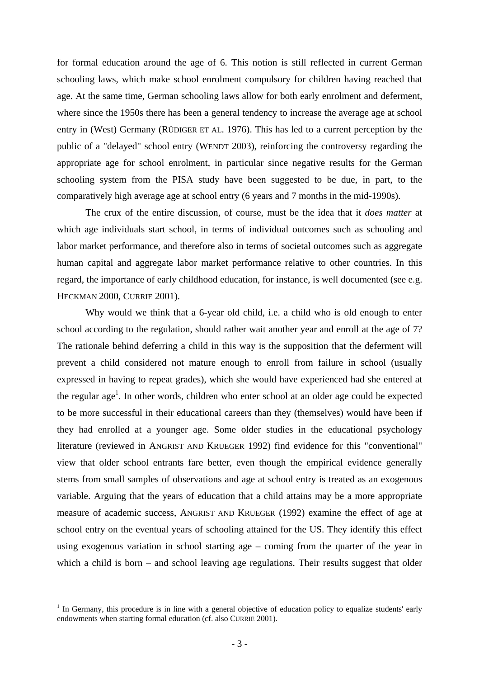for formal education around the age of 6. This notion is still reflected in current German schooling laws, which make school enrolment compulsory for children having reached that age. At the same time, German schooling laws allow for both early enrolment and deferment, where since the 1950s there has been a general tendency to increase the average age at school entry in (West) Germany (RÜDIGER ET AL. 1976). This has led to a current perception by the public of a "delayed" school entry (WENDT 2003), reinforcing the controversy regarding the appropriate age for school enrolment, in particular since negative results for the German schooling system from the PISA study have been suggested to be due, in part, to the comparatively high average age at school entry (6 years and 7 months in the mid-1990s).

The crux of the entire discussion, of course, must be the idea that it *does matter* at which age individuals start school, in terms of individual outcomes such as schooling and labor market performance, and therefore also in terms of societal outcomes such as aggregate human capital and aggregate labor market performance relative to other countries. In this regard, the importance of early childhood education, for instance, is well documented (see e.g. HECKMAN 2000, CURRIE 2001).

Why would we think that a 6-year old child, i.e. a child who is old enough to enter school according to the regulation, should rather wait another year and enroll at the age of 7? The rationale behind deferring a child in this way is the supposition that the deferment will prevent a child considered not mature enough to enroll from failure in school (usually expressed in having to repeat grades), which she would have experienced had she entered at the regular age<sup>1</sup>. In other words, children who enter school at an older age could be expected to be more successful in their educational careers than they (themselves) would have been if they had enrolled at a younger age. Some older studies in the educational psychology literature (reviewed in ANGRIST AND KRUEGER 1992) find evidence for this "conventional" view that older school entrants fare better, even though the empirical evidence generally stems from small samples of observations and age at school entry is treated as an exogenous variable. Arguing that the years of education that a child attains may be a more appropriate measure of academic success, ANGRIST AND KRUEGER (1992) examine the effect of age at school entry on the eventual years of schooling attained for the US. They identify this effect using exogenous variation in school starting age – coming from the quarter of the year in which a child is born – and school leaving age regulations. Their results suggest that older

1

 $<sup>1</sup>$  In Germany, this procedure is in line with a general objective of education policy to equalize students' early</sup> endowments when starting formal education (cf. also CURRIE 2001).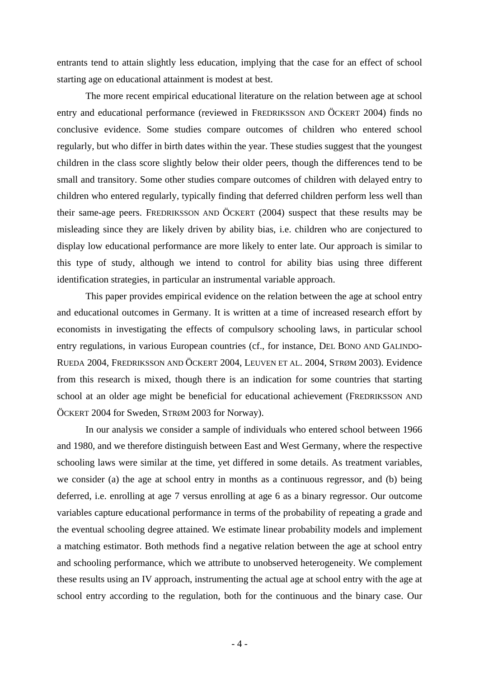entrants tend to attain slightly less education, implying that the case for an effect of school starting age on educational attainment is modest at best.

 The more recent empirical educational literature on the relation between age at school entry and educational performance (reviewed in FREDRIKSSON AND ÖCKERT 2004) finds no conclusive evidence. Some studies compare outcomes of children who entered school regularly, but who differ in birth dates within the year. These studies suggest that the youngest children in the class score slightly below their older peers, though the differences tend to be small and transitory. Some other studies compare outcomes of children with delayed entry to children who entered regularly, typically finding that deferred children perform less well than their same-age peers. FREDRIKSSON AND ÖCKERT (2004) suspect that these results may be misleading since they are likely driven by ability bias, i.e. children who are conjectured to display low educational performance are more likely to enter late. Our approach is similar to this type of study, although we intend to control for ability bias using three different identification strategies, in particular an instrumental variable approach.

This paper provides empirical evidence on the relation between the age at school entry and educational outcomes in Germany. It is written at a time of increased research effort by economists in investigating the effects of compulsory schooling laws, in particular school entry regulations, in various European countries (cf., for instance, DEL BONO AND GALINDO-RUEDA 2004, FREDRIKSSON AND ÖCKERT 2004, LEUVEN ET AL. 2004, STRØM 2003). Evidence from this research is mixed, though there is an indication for some countries that starting school at an older age might be beneficial for educational achievement (FREDRIKSSON AND ÖCKERT 2004 for Sweden, STRØM 2003 for Norway).

In our analysis we consider a sample of individuals who entered school between 1966 and 1980, and we therefore distinguish between East and West Germany, where the respective schooling laws were similar at the time, yet differed in some details. As treatment variables, we consider (a) the age at school entry in months as a continuous regressor, and (b) being deferred, i.e. enrolling at age 7 versus enrolling at age 6 as a binary regressor. Our outcome variables capture educational performance in terms of the probability of repeating a grade and the eventual schooling degree attained. We estimate linear probability models and implement a matching estimator. Both methods find a negative relation between the age at school entry and schooling performance, which we attribute to unobserved heterogeneity. We complement these results using an IV approach, instrumenting the actual age at school entry with the age at school entry according to the regulation, both for the continuous and the binary case. Our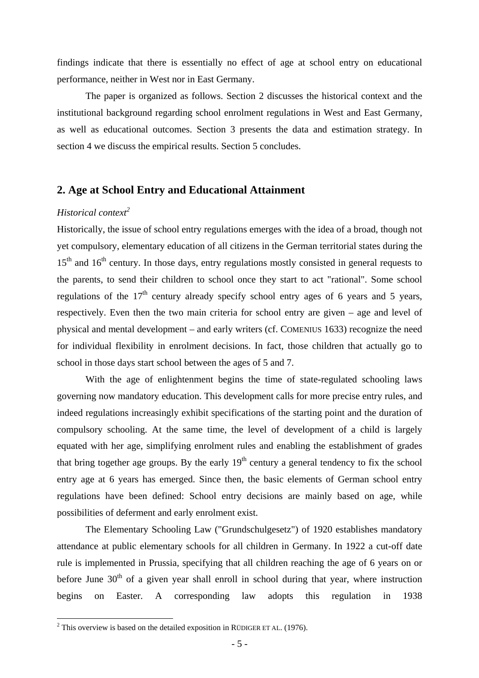findings indicate that there is essentially no effect of age at school entry on educational performance, neither in West nor in East Germany.

The paper is organized as follows. Section 2 discusses the historical context and the institutional background regarding school enrolment regulations in West and East Germany, as well as educational outcomes. Section 3 presents the data and estimation strategy. In section 4 we discuss the empirical results. Section 5 concludes.

## **2. Age at School Entry and Educational Attainment**

# *Historical context*<sup>2</sup>

Historically, the issue of school entry regulations emerges with the idea of a broad, though not yet compulsory, elementary education of all citizens in the German territorial states during the 15<sup>th</sup> and 16<sup>th</sup> century. In those days, entry regulations mostly consisted in general requests to the parents, to send their children to school once they start to act "rational". Some school regulations of the  $17<sup>th</sup>$  century already specify school entry ages of 6 years and 5 years, respectively. Even then the two main criteria for school entry are given – age and level of physical and mental development – and early writers (cf. COMENIUS 1633) recognize the need for individual flexibility in enrolment decisions. In fact, those children that actually go to school in those days start school between the ages of 5 and 7.

With the age of enlightenment begins the time of state-regulated schooling laws governing now mandatory education. This development calls for more precise entry rules, and indeed regulations increasingly exhibit specifications of the starting point and the duration of compulsory schooling. At the same time, the level of development of a child is largely equated with her age, simplifying enrolment rules and enabling the establishment of grades that bring together age groups. By the early  $19<sup>th</sup>$  century a general tendency to fix the school entry age at 6 years has emerged. Since then, the basic elements of German school entry regulations have been defined: School entry decisions are mainly based on age, while possibilities of deferment and early enrolment exist.

The Elementary Schooling Law ("Grundschulgesetz") of 1920 establishes mandatory attendance at public elementary schools for all children in Germany. In 1922 a cut-off date rule is implemented in Prussia, specifying that all children reaching the age of 6 years on or before June  $30<sup>th</sup>$  of a given year shall enroll in school during that year, where instruction begins on Easter. A corresponding law adopts this regulation in 1938

<sup>&</sup>lt;sup>2</sup> This overview is based on the detailed exposition in RÜDIGER ET AL. (1976).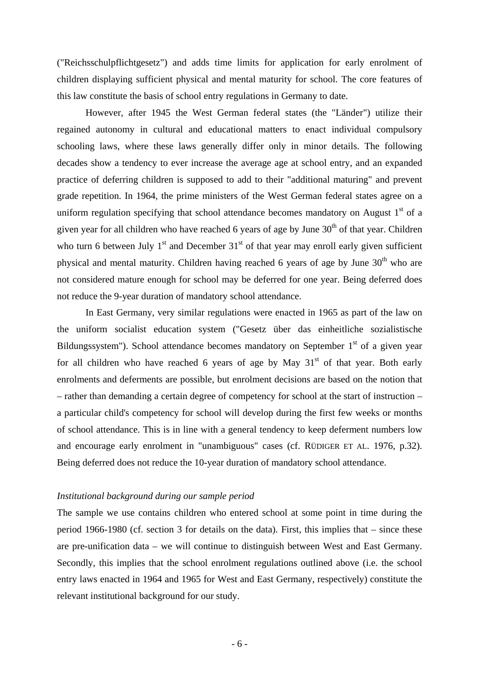("Reichsschulpflichtgesetz") and adds time limits for application for early enrolment of children displaying sufficient physical and mental maturity for school. The core features of this law constitute the basis of school entry regulations in Germany to date.

However, after 1945 the West German federal states (the "Länder") utilize their regained autonomy in cultural and educational matters to enact individual compulsory schooling laws, where these laws generally differ only in minor details. The following decades show a tendency to ever increase the average age at school entry, and an expanded practice of deferring children is supposed to add to their "additional maturing" and prevent grade repetition. In 1964, the prime ministers of the West German federal states agree on a uniform regulation specifying that school attendance becomes mandatory on August  $1<sup>st</sup>$  of a given year for all children who have reached 6 years of age by June  $30<sup>th</sup>$  of that year. Children who turn 6 between July  $1<sup>st</sup>$  and December  $31<sup>st</sup>$  of that year may enroll early given sufficient physical and mental maturity. Children having reached 6 years of age by June  $30<sup>th</sup>$  who are not considered mature enough for school may be deferred for one year. Being deferred does not reduce the 9-year duration of mandatory school attendance.

In East Germany, very similar regulations were enacted in 1965 as part of the law on the uniform socialist education system ("Gesetz über das einheitliche sozialistische Bildungssystem"). School attendance becomes mandatory on September  $1<sup>st</sup>$  of a given year for all children who have reached 6 years of age by May  $31<sup>st</sup>$  of that year. Both early enrolments and deferments are possible, but enrolment decisions are based on the notion that – rather than demanding a certain degree of competency for school at the start of instruction – a particular child's competency for school will develop during the first few weeks or months of school attendance. This is in line with a general tendency to keep deferment numbers low and encourage early enrolment in "unambiguous" cases (cf. RÜDIGER ET AL. 1976, p.32). Being deferred does not reduce the 10-year duration of mandatory school attendance.

#### *Institutional background during our sample period*

The sample we use contains children who entered school at some point in time during the period 1966-1980 (cf. section 3 for details on the data). First, this implies that – since these are pre-unification data – we will continue to distinguish between West and East Germany. Secondly, this implies that the school enrolment regulations outlined above (i.e. the school entry laws enacted in 1964 and 1965 for West and East Germany, respectively) constitute the relevant institutional background for our study.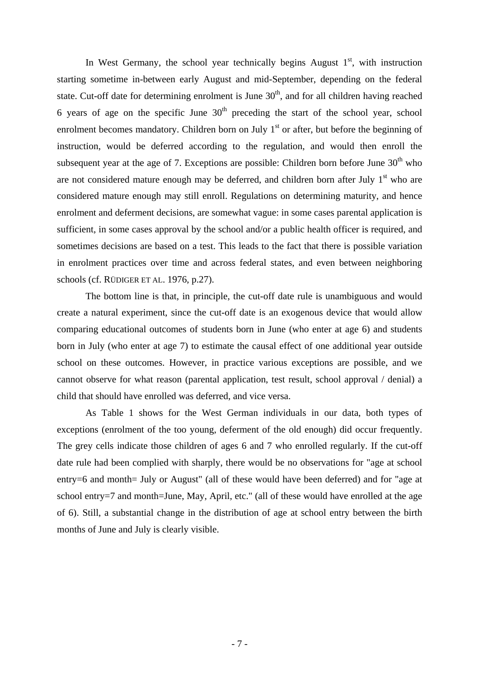In West Germany, the school year technically begins August  $1<sup>st</sup>$ , with instruction starting sometime in-between early August and mid-September, depending on the federal state. Cut-off date for determining enrolment is June  $30<sup>th</sup>$ , and for all children having reached 6 years of age on the specific June  $30<sup>th</sup>$  preceding the start of the school year, school enrolment becomes mandatory. Children born on July  $1<sup>st</sup>$  or after, but before the beginning of instruction, would be deferred according to the regulation, and would then enroll the subsequent year at the age of 7. Exceptions are possible: Children born before June  $30<sup>th</sup>$  who are not considered mature enough may be deferred, and children born after July  $1<sup>st</sup>$  who are considered mature enough may still enroll. Regulations on determining maturity, and hence enrolment and deferment decisions, are somewhat vague: in some cases parental application is sufficient, in some cases approval by the school and/or a public health officer is required, and sometimes decisions are based on a test. This leads to the fact that there is possible variation in enrolment practices over time and across federal states, and even between neighboring schools (cf. RÜDIGER ET AL. 1976, p.27).

The bottom line is that, in principle, the cut-off date rule is unambiguous and would create a natural experiment, since the cut-off date is an exogenous device that would allow comparing educational outcomes of students born in June (who enter at age 6) and students born in July (who enter at age 7) to estimate the causal effect of one additional year outside school on these outcomes. However, in practice various exceptions are possible, and we cannot observe for what reason (parental application, test result, school approval / denial) a child that should have enrolled was deferred, and vice versa.

As Table 1 shows for the West German individuals in our data, both types of exceptions (enrolment of the too young, deferment of the old enough) did occur frequently. The grey cells indicate those children of ages 6 and 7 who enrolled regularly. If the cut-off date rule had been complied with sharply, there would be no observations for "age at school entry=6 and month= July or August" (all of these would have been deferred) and for "age at school entry=7 and month=June, May, April, etc." (all of these would have enrolled at the age of 6). Still, a substantial change in the distribution of age at school entry between the birth months of June and July is clearly visible.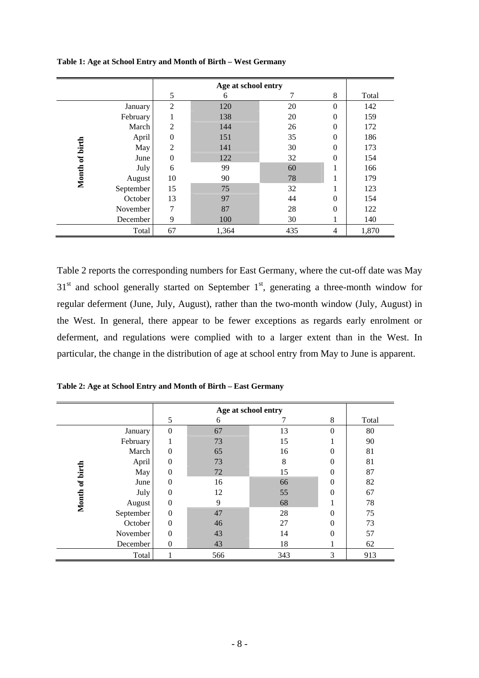|          |           |                | Age at school entry |     |                  |       |  |  |
|----------|-----------|----------------|---------------------|-----|------------------|-------|--|--|
|          |           | 5              | 6                   | 7   | 8                | Total |  |  |
|          | January   | $\overline{2}$ | 120                 | 20  | $\boldsymbol{0}$ | 142   |  |  |
|          | February  |                | 138                 | 20  | $\Omega$         | 159   |  |  |
|          | March     | $\overline{2}$ | 144                 | 26  | $\Omega$         | 172   |  |  |
|          | April     | $\theta$       | 151                 | 35  | $\theta$         | 186   |  |  |
| of birth | May       | $\overline{2}$ | 141                 | 30  | $\Omega$         | 173   |  |  |
|          | June      | $\theta$       | 122                 | 32  | $\theta$         | 154   |  |  |
|          | July      | 6              | 99                  | 60  |                  | 166   |  |  |
| Month    | August    | 10             | 90                  | 78  |                  | 179   |  |  |
|          | September | 15             | 75                  | 32  |                  | 123   |  |  |
|          | October   | 13             | 97                  | 44  | $\Omega$         | 154   |  |  |
|          | November  | 7              | 87                  | 28  | $\Omega$         | 122   |  |  |
|          | December  | 9              | 100                 | 30  |                  | 140   |  |  |
|          | Total     | 67             | 1,364               | 435 | 4                | 1,870 |  |  |

**Table 1: Age at School Entry and Month of Birth – West Germany** 

Table 2 reports the corresponding numbers for East Germany, where the cut-off date was May  $31<sup>st</sup>$  and school generally started on September  $1<sup>st</sup>$ , generating a three-month window for regular deferment (June, July, August), rather than the two-month window (July, August) in the West. In general, there appear to be fewer exceptions as regards early enrolment or deferment, and regulations were complied with to a larger extent than in the West. In particular, the change in the distribution of age at school entry from May to June is apparent.

| Table 2: Age at School Entry and Month of Birth - East Germany |  |  |
|----------------------------------------------------------------|--|--|
|----------------------------------------------------------------|--|--|

|                |           |                | Age at school entry |     |          |       |  |
|----------------|-----------|----------------|---------------------|-----|----------|-------|--|
|                |           | 5              | 6                   |     | 8        | Total |  |
|                | January   | $\theta$       | 67                  | 13  | $\Omega$ | 80    |  |
|                | February  |                | 73                  | 15  |          | 90    |  |
|                | March     | $\overline{0}$ | 65                  | 16  | 0        | 81    |  |
|                | April     | $\Omega$       | 73                  | 8   | $\Omega$ | 81    |  |
|                | May       | $\theta$       | 72                  | 15  | 0        | 87    |  |
|                | June      | $\Omega$       | 16                  | 66  | $\Omega$ | 82    |  |
|                | July      | $\theta$       | 12                  | 55  | $\Omega$ | 67    |  |
| Month of birth | August    | $\theta$       | 9                   | 68  |          | 78    |  |
|                | September | $\theta$       | 47                  | 28  | 0        | 75    |  |
|                | October   | $\theta$       | 46                  | 27  | $\Omega$ | 73    |  |
|                | November  | $\Omega$       | 43                  | 14  | $\Omega$ | 57    |  |
|                | December  | $\theta$       | 43                  | 18  |          | 62    |  |
|                | Total     |                | 566                 | 343 | 3        | 913   |  |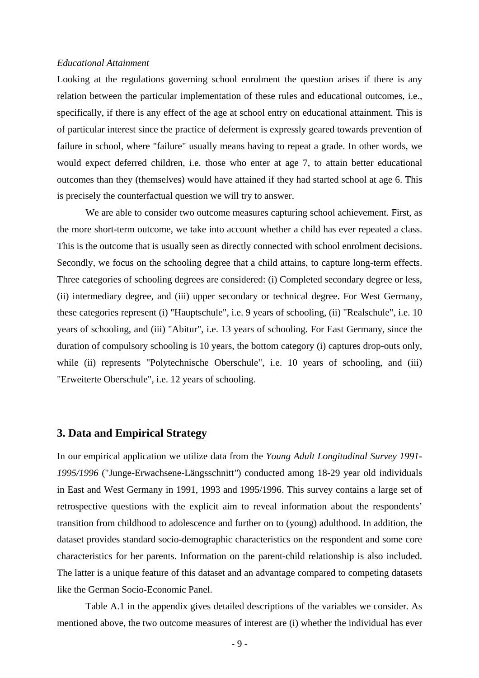#### *Educational Attainment*

Looking at the regulations governing school enrolment the question arises if there is any relation between the particular implementation of these rules and educational outcomes, i.e., specifically, if there is any effect of the age at school entry on educational attainment. This is of particular interest since the practice of deferment is expressly geared towards prevention of failure in school, where "failure" usually means having to repeat a grade. In other words, we would expect deferred children, i.e. those who enter at age 7, to attain better educational outcomes than they (themselves) would have attained if they had started school at age 6. This is precisely the counterfactual question we will try to answer.

We are able to consider two outcome measures capturing school achievement. First, as the more short-term outcome, we take into account whether a child has ever repeated a class. This is the outcome that is usually seen as directly connected with school enrolment decisions. Secondly, we focus on the schooling degree that a child attains, to capture long-term effects. Three categories of schooling degrees are considered: (i) Completed secondary degree or less, (ii) intermediary degree, and (iii) upper secondary or technical degree. For West Germany, these categories represent (i) "Hauptschule", i.e. 9 years of schooling, (ii) "Realschule", i.e. 10 years of schooling, and (iii) "Abitur", i.e. 13 years of schooling. For East Germany, since the duration of compulsory schooling is 10 years, the bottom category (i) captures drop-outs only, while (ii) represents "Polytechnische Oberschule", i.e. 10 years of schooling, and (iii) "Erweiterte Oberschule", i.e. 12 years of schooling.

### **3. Data and Empirical Strategy**

In our empirical application we utilize data from the *Young Adult Longitudinal Survey 1991- 1995/1996* ("Junge-Erwachsene-Längsschnitt*"*) conducted among 18-29 year old individuals in East and West Germany in 1991, 1993 and 1995/1996. This survey contains a large set of retrospective questions with the explicit aim to reveal information about the respondents' transition from childhood to adolescence and further on to (young) adulthood. In addition, the dataset provides standard socio-demographic characteristics on the respondent and some core characteristics for her parents. Information on the parent-child relationship is also included. The latter is a unique feature of this dataset and an advantage compared to competing datasets like the German Socio-Economic Panel.

Table A.1 in the appendix gives detailed descriptions of the variables we consider. As mentioned above, the two outcome measures of interest are (i) whether the individual has ever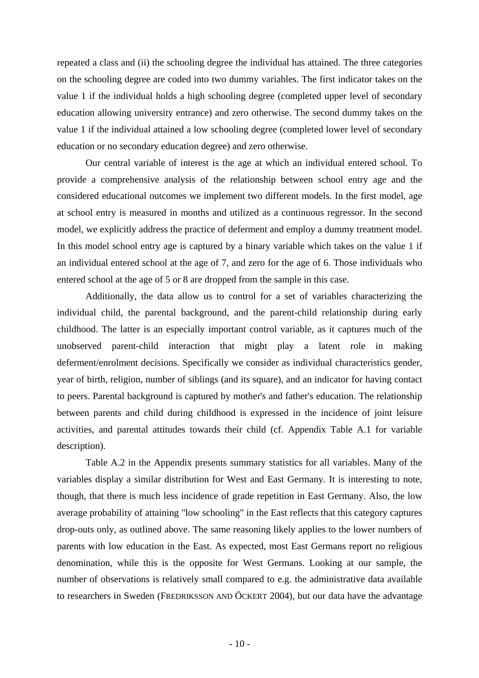repeated a class and (ii) the schooling degree the individual has attained. The three categories on the schooling degree are coded into two dummy variables. The first indicator takes on the value 1 if the individual holds a high schooling degree (completed upper level of secondary education allowing university entrance) and zero otherwise. The second dummy takes on the value 1 if the individual attained a low schooling degree (completed lower level of secondary education or no secondary education degree) and zero otherwise.

Our central variable of interest is the age at which an individual entered school. To provide a comprehensive analysis of the relationship between school entry age and the considered educational outcomes we implement two different models. In the first model, age at school entry is measured in months and utilized as a continuous regressor. In the second model, we explicitly address the practice of deferment and employ a dummy treatment model. In this model school entry age is captured by a binary variable which takes on the value 1 if an individual entered school at the age of 7, and zero for the age of 6. Those individuals who entered school at the age of 5 or 8 are dropped from the sample in this case.

Additionally, the data allow us to control for a set of variables characterizing the individual child, the parental background, and the parent-child relationship during early childhood. The latter is an especially important control variable, as it captures much of the unobserved parent-child interaction that might play a latent role in making deferment/enrolment decisions. Specifically we consider as individual characteristics gender, year of birth, religion, number of siblings (and its square), and an indicator for having contact to peers. Parental background is captured by mother's and father's education. The relationship between parents and child during childhood is expressed in the incidence of joint leisure activities, and parental attitudes towards their child (cf. Appendix Table A.1 for variable description).

Table A.2 in the Appendix presents summary statistics for all variables. Many of the variables display a similar distribution for West and East Germany. It is interesting to note, though, that there is much less incidence of grade repetition in East Germany. Also, the low average probability of attaining "low schooling" in the East reflects that this category captures drop-outs only, as outlined above. The same reasoning likely applies to the lower numbers of parents with low education in the East. As expected, most East Germans report no religious denomination, while this is the opposite for West Germans. Looking at our sample, the number of observations is relatively small compared to e.g. the administrative data available to researchers in Sweden (FREDRIKSSON AND ÖCKERT 2004), but our data have the advantage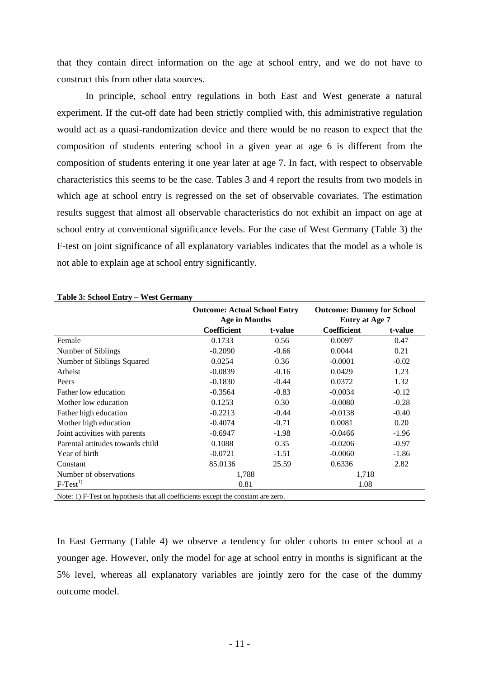that they contain direct information on the age at school entry, and we do not have to construct this from other data sources.

In principle, school entry regulations in both East and West generate a natural experiment. If the cut-off date had been strictly complied with, this administrative regulation would act as a quasi-randomization device and there would be no reason to expect that the composition of students entering school in a given year at age 6 is different from the composition of students entering it one year later at age 7. In fact, with respect to observable characteristics this seems to be the case. Tables 3 and 4 report the results from two models in which age at school entry is regressed on the set of observable covariates. The estimation results suggest that almost all observable characteristics do not exhibit an impact on age at school entry at conventional significance levels. For the case of West Germany (Table 3) the F-test on joint significance of all explanatory variables indicates that the model as a whole is not able to explain age at school entry significantly.

|                                                                                   | <b>Outcome: Actual School Entry</b><br><b>Age in Months</b> |         | <b>Outcome: Dummy for School</b><br><b>Entry at Age 7</b> |         |  |  |
|-----------------------------------------------------------------------------------|-------------------------------------------------------------|---------|-----------------------------------------------------------|---------|--|--|
|                                                                                   | Coefficient                                                 | t-value | Coefficient                                               | t-value |  |  |
| Female                                                                            | 0.1733                                                      | 0.56    | 0.0097                                                    | 0.47    |  |  |
| Number of Siblings                                                                | $-0.2090$                                                   | $-0.66$ | 0.0044                                                    | 0.21    |  |  |
| Number of Siblings Squared                                                        | 0.0254                                                      | 0.36    | $-0.0001$                                                 | $-0.02$ |  |  |
| Atheist                                                                           | $-0.0839$                                                   | $-0.16$ | 0.0429                                                    | 1.23    |  |  |
| Peers                                                                             | $-0.1830$                                                   | $-0.44$ | 0.0372                                                    | 1.32    |  |  |
| Father low education                                                              | $-0.3564$                                                   | $-0.83$ | $-0.0034$                                                 | $-0.12$ |  |  |
| Mother low education                                                              | 0.1253                                                      | 0.30    | $-0.0080$                                                 | $-0.28$ |  |  |
| Father high education                                                             | $-0.2213$                                                   | $-0.44$ | $-0.0138$                                                 | $-0.40$ |  |  |
| Mother high education                                                             | $-0.4074$                                                   | $-0.71$ | 0.0081                                                    | 0.20    |  |  |
| Joint activities with parents                                                     | $-0.6947$                                                   | $-1.98$ | $-0.0466$                                                 | $-1.96$ |  |  |
| Parental attitudes towards child                                                  | 0.1088                                                      | 0.35    | $-0.0206$                                                 | $-0.97$ |  |  |
| Year of birth                                                                     | $-0.0721$                                                   | $-1.51$ | $-0.0060$                                                 | $-1.86$ |  |  |
| Constant                                                                          | 85.0136                                                     | 25.59   | 0.6336                                                    | 2.82    |  |  |
| Number of observations                                                            |                                                             | 1,788   |                                                           | 1,718   |  |  |
| $F-Test1$                                                                         | 0.81                                                        |         | 1.08                                                      |         |  |  |
| Note: 1) F-Test on hypothesis that all coefficients except the constant are zero. |                                                             |         |                                                           |         |  |  |

**Table 3: School Entry – West Germany** 

In East Germany (Table 4) we observe a tendency for older cohorts to enter school at a younger age. However, only the model for age at school entry in months is significant at the 5% level, whereas all explanatory variables are jointly zero for the case of the dummy outcome model.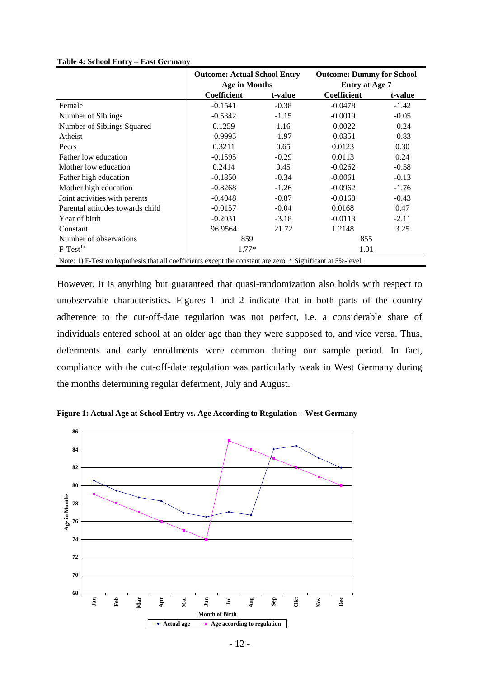|                                                                                                              | <b>Outcome: Actual School Entry</b> |         | <b>Outcome: Dummy for School</b> |         |  |  |
|--------------------------------------------------------------------------------------------------------------|-------------------------------------|---------|----------------------------------|---------|--|--|
|                                                                                                              | <b>Age in Months</b>                |         | <b>Entry at Age 7</b>            |         |  |  |
|                                                                                                              | <b>Coefficient</b>                  | t-value | <b>Coefficient</b>               | t-value |  |  |
| Female                                                                                                       | $-0.1541$                           | $-0.38$ | $-0.0478$                        | $-1.42$ |  |  |
| Number of Siblings                                                                                           | $-0.5342$                           | $-1.15$ | $-0.0019$                        | $-0.05$ |  |  |
| Number of Siblings Squared                                                                                   | 0.1259                              | 1.16    | $-0.0022$                        | $-0.24$ |  |  |
| Atheist                                                                                                      | $-0.9995$                           | $-1.97$ | $-0.0351$                        | $-0.83$ |  |  |
| Peers                                                                                                        | 0.3211                              | 0.65    | 0.0123                           | 0.30    |  |  |
| Father low education                                                                                         | $-0.1595$                           | $-0.29$ | 0.0113                           | 0.24    |  |  |
| Mother low education                                                                                         | 0.2414                              | 0.45    | $-0.0262$                        | $-0.58$ |  |  |
| Father high education                                                                                        | $-0.1850$                           | $-0.34$ | $-0.0061$                        | $-0.13$ |  |  |
| Mother high education                                                                                        | $-0.8268$                           | $-1.26$ | $-0.0962$                        | $-1.76$ |  |  |
| Joint activities with parents                                                                                | $-0.4048$                           | $-0.87$ | $-0.0168$                        | $-0.43$ |  |  |
| Parental attitudes towards child                                                                             | $-0.0157$                           | $-0.04$ | 0.0168                           | 0.47    |  |  |
| Year of birth                                                                                                | $-0.2031$                           | $-3.18$ | $-0.0113$                        | $-2.11$ |  |  |
| Constant                                                                                                     | 96.9564                             | 21.72   | 1.2148                           | 3.25    |  |  |
| Number of observations                                                                                       | 859                                 |         | 855                              |         |  |  |
| $F-Test1$                                                                                                    | $1.77*$                             |         | 1.01                             |         |  |  |
| Note: 1) F-Test on hypothesis that all coefficients except the constant are zero. * Significant at 5%-level. |                                     |         |                                  |         |  |  |

#### **Table 4: School Entry – East Germany**

However, it is anything but guaranteed that quasi-randomization also holds with respect to unobservable characteristics. Figures 1 and 2 indicate that in both parts of the country adherence to the cut-off-date regulation was not perfect, i.e. a considerable share of individuals entered school at an older age than they were supposed to, and vice versa. Thus, deferments and early enrollments were common during our sample period. In fact, compliance with the cut-off-date regulation was particularly weak in West Germany during the months determining regular deferment, July and August.



**Figure 1: Actual Age at School Entry vs. Age According to Regulation – West Germany**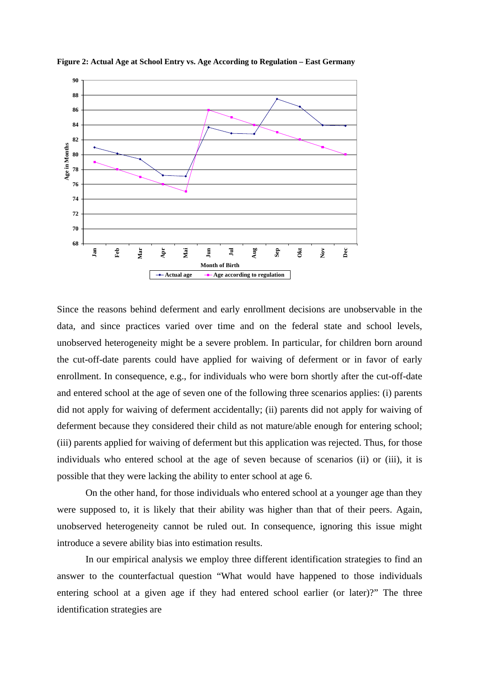

**Figure 2: Actual Age at School Entry vs. Age According to Regulation – East Germany** 

Since the reasons behind deferment and early enrollment decisions are unobservable in the data, and since practices varied over time and on the federal state and school levels, unobserved heterogeneity might be a severe problem. In particular, for children born around the cut-off-date parents could have applied for waiving of deferment or in favor of early enrollment. In consequence, e.g., for individuals who were born shortly after the cut-off-date and entered school at the age of seven one of the following three scenarios applies: (i) parents did not apply for waiving of deferment accidentally; (ii) parents did not apply for waiving of deferment because they considered their child as not mature/able enough for entering school; (iii) parents applied for waiving of deferment but this application was rejected. Thus, for those individuals who entered school at the age of seven because of scenarios (ii) or (iii), it is possible that they were lacking the ability to enter school at age 6.

On the other hand, for those individuals who entered school at a younger age than they were supposed to, it is likely that their ability was higher than that of their peers. Again, unobserved heterogeneity cannot be ruled out. In consequence, ignoring this issue might introduce a severe ability bias into estimation results.

In our empirical analysis we employ three different identification strategies to find an answer to the counterfactual question "What would have happened to those individuals entering school at a given age if they had entered school earlier (or later)?" The three identification strategies are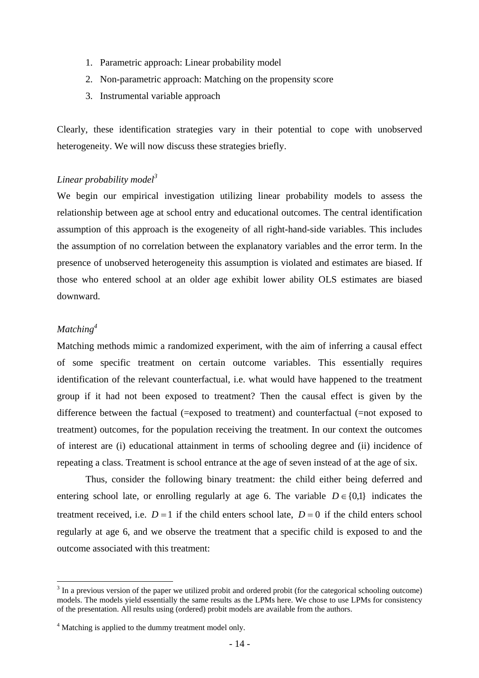- 1. Parametric approach: Linear probability model
- 2. Non-parametric approach: Matching on the propensity score
- 3. Instrumental variable approach

Clearly, these identification strategies vary in their potential to cope with unobserved heterogeneity. We will now discuss these strategies briefly.

## *Linear probability model<sup>3</sup>*

We begin our empirical investigation utilizing linear probability models to assess the relationship between age at school entry and educational outcomes. The central identification assumption of this approach is the exogeneity of all right-hand-side variables. This includes the assumption of no correlation between the explanatory variables and the error term. In the presence of unobserved heterogeneity this assumption is violated and estimates are biased. If those who entered school at an older age exhibit lower ability OLS estimates are biased downward.

## *Matching4*

 $\overline{a}$ 

Matching methods mimic a randomized experiment, with the aim of inferring a causal effect of some specific treatment on certain outcome variables. This essentially requires identification of the relevant counterfactual, i.e. what would have happened to the treatment group if it had not been exposed to treatment? Then the causal effect is given by the difference between the factual (=exposed to treatment) and counterfactual (=not exposed to treatment) outcomes, for the population receiving the treatment. In our context the outcomes of interest are (i) educational attainment in terms of schooling degree and (ii) incidence of repeating a class. Treatment is school entrance at the age of seven instead of at the age of six.

Thus, consider the following binary treatment: the child either being deferred and entering school late, or enrolling regularly at age 6. The variable  $D \in \{0,1\}$  indicates the treatment received, i.e.  $D = 1$  if the child enters school late,  $D = 0$  if the child enters school regularly at age 6, and we observe the treatment that a specific child is exposed to and the outcome associated with this treatment:

 $3$  In a previous version of the paper we utilized probit and ordered probit (for the categorical schooling outcome) models. The models yield essentially the same results as the LPMs here. We chose to use LPMs for consistency of the presentation. All results using (ordered) probit models are available from the authors.

<sup>&</sup>lt;sup>4</sup> Matching is applied to the dummy treatment model only.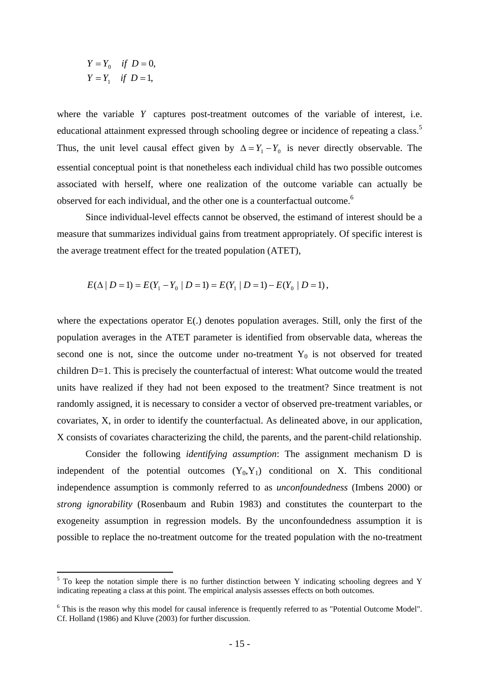$$
Y = Y_0 \quad \text{if } D = 0,
$$
  

$$
Y = Y_1 \quad \text{if } D = 1,
$$

where the variable *Y* captures post-treatment outcomes of the variable of interest, i.e. educational attainment expressed through schooling degree or incidence of repeating a class.<sup>5</sup> Thus, the unit level causal effect given by  $\Delta = Y_1 - Y_0$  is never directly observable. The essential conceptual point is that nonetheless each individual child has two possible outcomes associated with herself, where one realization of the outcome variable can actually be observed for each individual, and the other one is a counterfactual outcome.<sup>6</sup>

Since individual-level effects cannot be observed, the estimand of interest should be a measure that summarizes individual gains from treatment appropriately. Of specific interest is the average treatment effect for the treated population (ATET),

$$
E(\Delta | D = 1) = E(Y_1 - Y_0 | D = 1) = E(Y_1 | D = 1) - E(Y_0 | D = 1),
$$

where the expectations operator E(.) denotes population averages. Still, only the first of the population averages in the ATET parameter is identified from observable data, whereas the second one is not, since the outcome under no-treatment  $Y_0$  is not observed for treated children D=1. This is precisely the counterfactual of interest: What outcome would the treated units have realized if they had not been exposed to the treatment? Since treatment is not randomly assigned, it is necessary to consider a vector of observed pre-treatment variables, or covariates, X, in order to identify the counterfactual. As delineated above, in our application, X consists of covariates characterizing the child, the parents, and the parent-child relationship.

 Consider the following *identifying assumption*: The assignment mechanism D is independent of the potential outcomes  $(Y_0, Y_1)$  conditional on X. This conditional independence assumption is commonly referred to as *unconfoundedness* (Imbens 2000) or *strong ignorability* (Rosenbaum and Rubin 1983) and constitutes the counterpart to the exogeneity assumption in regression models. By the unconfoundedness assumption it is possible to replace the no-treatment outcome for the treated population with the no-treatment

<sup>&</sup>lt;sup>5</sup> To keep the notation simple there is no further distinction between Y indicating schooling degrees and Y indicating repeating a class at this point. The empirical analysis assesses effects on both outcomes.

<sup>&</sup>lt;sup>6</sup> This is the reason why this model for causal inference is frequently referred to as "Potential Outcome Model". Cf. Holland (1986) and Kluve (2003) for further discussion.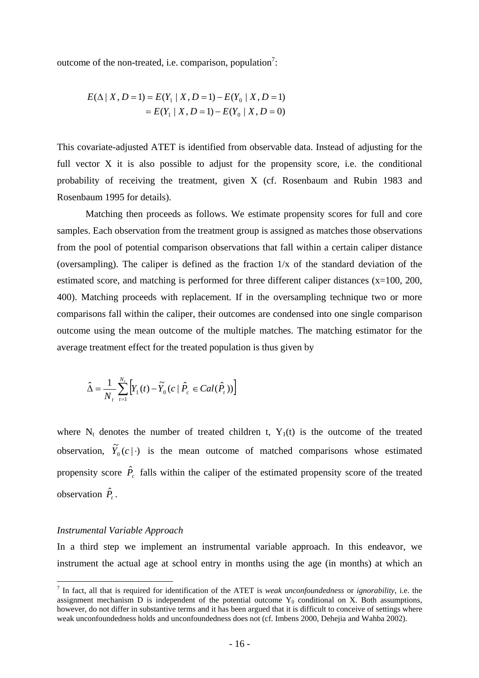outcome of the non-treated, i.e. comparison, population<sup>7</sup>:

$$
E(\Delta | X, D = 1) = E(Y_1 | X, D = 1) - E(Y_0 | X, D = 1)
$$
  
=  $E(Y_1 | X, D = 1) - E(Y_0 | X, D = 0)$ 

This covariate-adjusted ATET is identified from observable data. Instead of adjusting for the full vector X it is also possible to adjust for the propensity score, i.e. the conditional probability of receiving the treatment, given X (cf. Rosenbaum and Rubin 1983 and Rosenbaum 1995 for details).

Matching then proceeds as follows. We estimate propensity scores for full and core samples. Each observation from the treatment group is assigned as matches those observations from the pool of potential comparison observations that fall within a certain caliper distance (oversampling). The caliper is defined as the fraction 1/x of the standard deviation of the estimated score, and matching is performed for three different caliper distances (x=100, 200, 400). Matching proceeds with replacement. If in the oversampling technique two or more comparisons fall within the caliper, their outcomes are condensed into one single comparison outcome using the mean outcome of the multiple matches. The matching estimator for the average treatment effect for the treated population is thus given by

$$
\hat{\Delta} = \frac{1}{N_t} \sum_{t=1}^{N_t} \left[ Y_1(t) - \widetilde{Y}_0 \left( c \mid \hat{P}_c \in Cal(\hat{P}_t) \right) \right]
$$

where  $N_t$  denotes the number of treated children t,  $Y_1(t)$  is the outcome of the treated observation,  $\tilde{Y}_0(c | \cdot)$  is the mean outcome of matched comparisons whose estimated propensity score  $\hat{P}_c$  falls within the caliper of the estimated propensity score of the treated observation  $\hat{P}_t$ .

#### *Instrumental Variable Approach*

In a third step we implement an instrumental variable approach. In this endeavor, we instrument the actual age at school entry in months using the age (in months) at which an

 7 In fact, all that is required for identification of the ATET is *weak unconfoundedness* or *ignorability*, i.e. the assignment mechanism  $D$  is independent of the potential outcome  $Y_0$  conditional on X. Both assumptions, however, do not differ in substantive terms and it has been argued that it is difficult to conceive of settings where weak unconfoundedness holds and unconfoundedness does not (cf. Imbens 2000, Dehejia and Wahba 2002).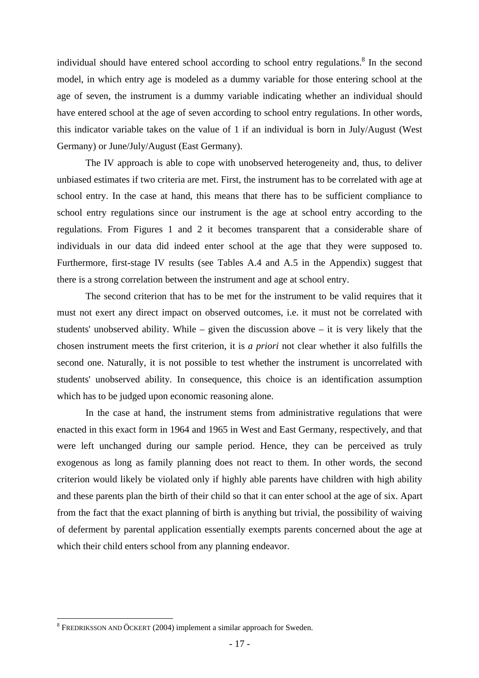individual should have entered school according to school entry regulations.<sup>8</sup> In the second model, in which entry age is modeled as a dummy variable for those entering school at the age of seven, the instrument is a dummy variable indicating whether an individual should have entered school at the age of seven according to school entry regulations. In other words, this indicator variable takes on the value of 1 if an individual is born in July/August (West Germany) or June/July/August (East Germany).

The IV approach is able to cope with unobserved heterogeneity and, thus, to deliver unbiased estimates if two criteria are met. First, the instrument has to be correlated with age at school entry. In the case at hand, this means that there has to be sufficient compliance to school entry regulations since our instrument is the age at school entry according to the regulations. From Figures 1 and 2 it becomes transparent that a considerable share of individuals in our data did indeed enter school at the age that they were supposed to. Furthermore, first-stage IV results (see Tables A.4 and A.5 in the Appendix) suggest that there is a strong correlation between the instrument and age at school entry.

The second criterion that has to be met for the instrument to be valid requires that it must not exert any direct impact on observed outcomes, i.e. it must not be correlated with students' unobserved ability. While – given the discussion above – it is very likely that the chosen instrument meets the first criterion, it is *a priori* not clear whether it also fulfills the second one. Naturally, it is not possible to test whether the instrument is uncorrelated with students' unobserved ability. In consequence, this choice is an identification assumption which has to be judged upon economic reasoning alone.

In the case at hand, the instrument stems from administrative regulations that were enacted in this exact form in 1964 and 1965 in West and East Germany, respectively, and that were left unchanged during our sample period. Hence, they can be perceived as truly exogenous as long as family planning does not react to them. In other words, the second criterion would likely be violated only if highly able parents have children with high ability and these parents plan the birth of their child so that it can enter school at the age of six. Apart from the fact that the exact planning of birth is anything but trivial, the possibility of waiving of deferment by parental application essentially exempts parents concerned about the age at which their child enters school from any planning endeavor.

1

<sup>&</sup>lt;sup>8</sup> FREDRIKSSON AND ÖCKERT (2004) implement a similar approach for Sweden.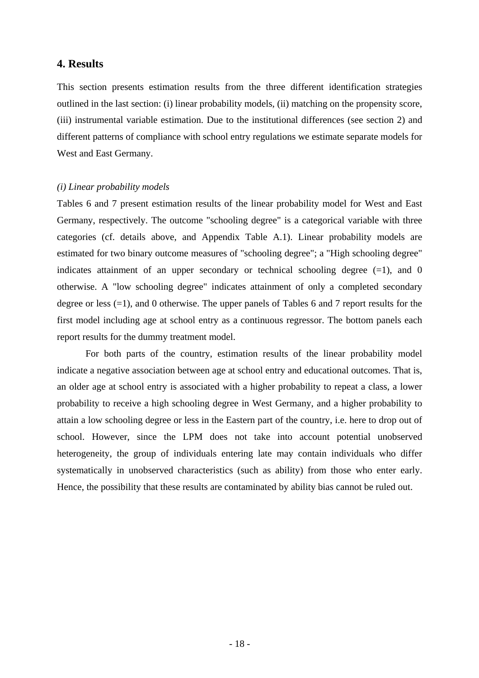## **4. Results**

This section presents estimation results from the three different identification strategies outlined in the last section: (i) linear probability models, (ii) matching on the propensity score, (iii) instrumental variable estimation. Due to the institutional differences (see section 2) and different patterns of compliance with school entry regulations we estimate separate models for West and East Germany.

#### *(i) Linear probability models*

Tables 6 and 7 present estimation results of the linear probability model for West and East Germany, respectively. The outcome "schooling degree" is a categorical variable with three categories (cf. details above, and Appendix Table A.1). Linear probability models are estimated for two binary outcome measures of "schooling degree"; a "High schooling degree" indicates attainment of an upper secondary or technical schooling degree  $(=1)$ , and 0 otherwise. A "low schooling degree" indicates attainment of only a completed secondary degree or less (=1), and 0 otherwise. The upper panels of Tables 6 and 7 report results for the first model including age at school entry as a continuous regressor. The bottom panels each report results for the dummy treatment model.

For both parts of the country, estimation results of the linear probability model indicate a negative association between age at school entry and educational outcomes. That is, an older age at school entry is associated with a higher probability to repeat a class, a lower probability to receive a high schooling degree in West Germany, and a higher probability to attain a low schooling degree or less in the Eastern part of the country, i.e. here to drop out of school. However, since the LPM does not take into account potential unobserved heterogeneity, the group of individuals entering late may contain individuals who differ systematically in unobserved characteristics (such as ability) from those who enter early. Hence, the possibility that these results are contaminated by ability bias cannot be ruled out.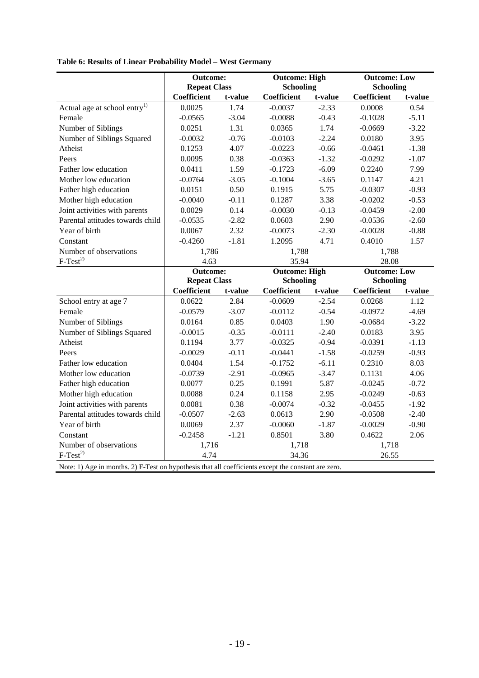|                                          | <b>Outcome:</b><br><b>Repeat Class</b> |         | <b>Outcome: High</b><br><b>Schooling</b> |         | <b>Outcome: Low</b><br><b>Schooling</b> |         |  |
|------------------------------------------|----------------------------------------|---------|------------------------------------------|---------|-----------------------------------------|---------|--|
|                                          | <b>Coefficient</b>                     | t-value | <b>Coefficient</b><br>t-value            |         | Coefficient<br>t-value                  |         |  |
| Actual age at school entry <sup>1)</sup> | 0.0025                                 | 1.74    | $-0.0037$                                | $-2.33$ | 0.0008                                  | 0.54    |  |
| Female                                   | $-0.0565$                              | $-3.04$ | $-0.0088$                                | $-0.43$ | $-0.1028$                               | $-5.11$ |  |
| Number of Siblings                       | 0.0251                                 | 1.31    | 0.0365                                   | 1.74    | $-0.0669$                               | $-3.22$ |  |
| Number of Siblings Squared               | $-0.0032$                              | $-0.76$ | $-0.0103$                                | $-2.24$ | 0.0180                                  | 3.95    |  |
| Atheist                                  | 0.1253                                 | 4.07    | $-0.0223$                                | $-0.66$ | $-0.0461$                               | $-1.38$ |  |
| Peers                                    | 0.0095                                 | 0.38    | $-0.0363$                                | $-1.32$ | $-0.0292$                               | $-1.07$ |  |
| Father low education                     | 0.0411                                 | 1.59    | $-0.1723$                                | $-6.09$ | 0.2240                                  | 7.99    |  |
| Mother low education                     | $-0.0764$                              | $-3.05$ | $-0.1004$                                | $-3.65$ | 0.1147                                  | 4.21    |  |
| Father high education                    | 0.0151                                 | 0.50    | 0.1915                                   | 5.75    | $-0.0307$                               | $-0.93$ |  |
| Mother high education                    | $-0.0040$                              | $-0.11$ | 0.1287                                   | 3.38    | $-0.0202$                               | $-0.53$ |  |
| Joint activities with parents            | 0.0029                                 | 0.14    | $-0.0030$                                | $-0.13$ | $-0.0459$                               | $-2.00$ |  |
| Parental attitudes towards child         | $-0.0535$                              | $-2.82$ | 0.0603                                   | 2.90    | $-0.0536$                               | $-2.60$ |  |
| Year of birth                            | 0.0067                                 | 2.32    | $-0.0073$                                | $-2.30$ | $-0.0028$                               | $-0.88$ |  |
| Constant                                 | $-0.4260$                              | $-1.81$ | 1.2095                                   | 4.71    | 0.4010                                  | 1.57    |  |
| Number of observations                   | 1,786                                  |         | 1.788                                    |         | 1.788                                   |         |  |
| $F-Test^{2)}$                            | 4.63                                   |         | 35.94                                    |         | 28.08                                   |         |  |
|                                          | <b>Outcome:</b>                        |         | <b>Outcome: High</b>                     |         | <b>Outcome: Low</b>                     |         |  |
|                                          | <b>Repeat Class</b>                    |         | <b>Schooling</b>                         |         | <b>Schooling</b>                        |         |  |
|                                          | <b>Coefficient</b>                     | t-value | Coefficient                              | t-value | Coefficient                             | t-value |  |
| School entry at age 7                    | 0.0622                                 | 2.84    | $-0.0609$                                | $-2.54$ | 0.0268                                  | 1.12    |  |
| Female                                   | $-0.0579$                              | $-3.07$ | $-0.0112$                                | $-0.54$ | $-0.0972$                               | $-4.69$ |  |
| Number of Siblings                       | 0.0164                                 | 0.85    | 0.0403                                   | 1.90    | $-0.0684$                               | $-3.22$ |  |
| Number of Siblings Squared               | $-0.0015$                              | $-0.35$ | $-0.0111$                                | $-2.40$ | 0.0183                                  | 3.95    |  |

|  |  |  |  | Table 6: Results of Linear Probability Model - West Germany |
|--|--|--|--|-------------------------------------------------------------|
|--|--|--|--|-------------------------------------------------------------|

| Number of Siblings                                                                                  | 0.0164    | 0.85    | 0.0403    | 1.90    | $-0.0684$ | $-3.22$ |
|-----------------------------------------------------------------------------------------------------|-----------|---------|-----------|---------|-----------|---------|
| Number of Siblings Squared                                                                          | $-0.0015$ | $-0.35$ | $-0.0111$ | $-2.40$ | 0.0183    | 3.95    |
| Atheist                                                                                             | 0.1194    | 3.77    | $-0.0325$ | $-0.94$ | $-0.0391$ | $-1.13$ |
| Peers                                                                                               | $-0.0029$ | $-0.11$ | $-0.0441$ | $-1.58$ | $-0.0259$ | $-0.93$ |
| Father low education                                                                                | 0.0404    | 1.54    | $-0.1752$ | $-6.11$ | 0.2310    | 8.03    |
| Mother low education                                                                                | $-0.0739$ | $-2.91$ | $-0.0965$ | $-3.47$ | 0.1131    | 4.06    |
| Father high education                                                                               | 0.0077    | 0.25    | 0.1991    | 5.87    | $-0.0245$ | $-0.72$ |
| Mother high education                                                                               | 0.0088    | 0.24    | 0.1158    | 2.95    | $-0.0249$ | $-0.63$ |
| Joint activities with parents                                                                       | 0.0081    | 0.38    | $-0.0074$ | $-0.32$ | $-0.0455$ | $-1.92$ |
| Parental attitudes towards child                                                                    | $-0.0507$ | $-2.63$ | 0.0613    | 2.90    | $-0.0508$ | $-2.40$ |
| Year of birth                                                                                       | 0.0069    | 2.37    | $-0.0060$ | $-1.87$ | $-0.0029$ | $-0.90$ |
| Constant                                                                                            | $-0.2458$ | $-1.21$ | 0.8501    | 3.80    | 0.4622    | 2.06    |
| Number of observations                                                                              | 1,716     |         | 1.718     |         | 1,718     |         |
| $F-Test^{2)}$                                                                                       | 4.74      |         | 34.36     |         | 26.55     |         |
| Note: 1) Age in months. 2) F-Test on hypothesis that all coefficients except the constant are zero. |           |         |           |         |           |         |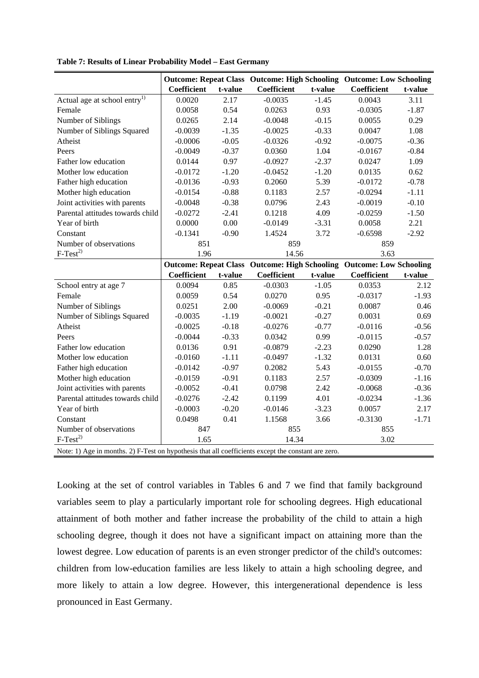|                                                                                                     |             |         | <b>Outcome: Repeat Class Outcome: High Schooling Outcome: Low Schooling</b> |         |             |         |
|-----------------------------------------------------------------------------------------------------|-------------|---------|-----------------------------------------------------------------------------|---------|-------------|---------|
|                                                                                                     | Coefficient | t-value | Coefficient                                                                 | t-value | Coefficient | t-value |
| Actual age at school entry <sup>1)</sup>                                                            | 0.0020      | 2.17    | $-0.0035$                                                                   | $-1.45$ | 0.0043      | 3.11    |
| Female                                                                                              | 0.0058      | 0.54    | 0.0263                                                                      | 0.93    | $-0.0305$   | $-1.87$ |
| Number of Siblings                                                                                  | 0.0265      | 2.14    | $-0.0048$                                                                   | $-0.15$ | 0.0055      | 0.29    |
| Number of Siblings Squared                                                                          | $-0.0039$   | $-1.35$ | $-0.0025$                                                                   | $-0.33$ | 0.0047      | 1.08    |
| Atheist                                                                                             | $-0.0006$   | $-0.05$ | $-0.0326$                                                                   | $-0.92$ | $-0.0075$   | $-0.36$ |
| Peers                                                                                               | $-0.0049$   | $-0.37$ | 0.0360                                                                      | 1.04    | $-0.0167$   | $-0.84$ |
| Father low education                                                                                | 0.0144      | 0.97    | $-0.0927$                                                                   | $-2.37$ | 0.0247      | 1.09    |
| Mother low education                                                                                | $-0.0172$   | $-1.20$ | $-0.0452$                                                                   | $-1.20$ | 0.0135      | 0.62    |
| Father high education                                                                               | $-0.0136$   | $-0.93$ | 0.2060                                                                      | 5.39    | $-0.0172$   | $-0.78$ |
| Mother high education                                                                               | $-0.0154$   | $-0.88$ | 0.1183                                                                      | 2.57    | $-0.0294$   | $-1.11$ |
| Joint activities with parents                                                                       | $-0.0048$   | $-0.38$ | 0.0796                                                                      | 2.43    | $-0.0019$   | $-0.10$ |
| Parental attitudes towards child                                                                    | $-0.0272$   | $-2.41$ | 0.1218                                                                      | 4.09    | $-0.0259$   | $-1.50$ |
| Year of birth                                                                                       | 0.0000      | 0.00    | $-0.0149$                                                                   | $-3.31$ | 0.0058      | 2.21    |
| Constant                                                                                            | $-0.1341$   | $-0.90$ | 1.4524                                                                      | 3.72    | $-0.6598$   | $-2.92$ |
| Number of observations                                                                              | 851         |         | 859                                                                         |         | 859         |         |
| $F-Test^{2}$                                                                                        | 1.96        |         | 14.56                                                                       |         | 3.63        |         |
|                                                                                                     |             |         | Outcome: Repeat Class Outcome: High Schooling Outcome: Low Schooling        |         |             |         |
|                                                                                                     | Coefficient | t-value | Coefficient                                                                 | t-value | Coefficient | t-value |
| School entry at age 7                                                                               | 0.0094      | 0.85    | $-0.0303$                                                                   | $-1.05$ | 0.0353      | 2.12    |
| Female                                                                                              | 0.0059      | 0.54    | 0.0270                                                                      | 0.95    | $-0.0317$   | $-1.93$ |
| Number of Siblings                                                                                  | 0.0251      | 2.00    | $-0.0069$                                                                   | $-0.21$ | 0.0087      | 0.46    |
| Number of Siblings Squared                                                                          | $-0.0035$   | $-1.19$ | $-0.0021$                                                                   | $-0.27$ | 0.0031      | 0.69    |
| Atheist                                                                                             | $-0.0025$   | $-0.18$ | $-0.0276$                                                                   | $-0.77$ | $-0.0116$   | $-0.56$ |
| Peers                                                                                               | $-0.0044$   | $-0.33$ | 0.0342                                                                      | 0.99    | $-0.0115$   | $-0.57$ |
| Father low education                                                                                | 0.0136      | 0.91    | $-0.0879$                                                                   | $-2.23$ | 0.0290      | 1.28    |
| Mother low education                                                                                | $-0.0160$   | $-1.11$ | $-0.0497$                                                                   | $-1.32$ | 0.0131      | 0.60    |
| Father high education                                                                               | $-0.0142$   | $-0.97$ | 0.2082                                                                      | 5.43    | $-0.0155$   | $-0.70$ |
| Mother high education                                                                               | $-0.0159$   | $-0.91$ | 0.1183                                                                      | 2.57    | $-0.0309$   | $-1.16$ |
| Joint activities with parents                                                                       | $-0.0052$   | $-0.41$ | 0.0798                                                                      | 2.42    | $-0.0068$   | $-0.36$ |
| Parental attitudes towards child                                                                    | $-0.0276$   | $-2.42$ | 0.1199                                                                      | 4.01    | $-0.0234$   | $-1.36$ |
| Year of birth                                                                                       | $-0.0003$   | $-0.20$ | $-0.0146$                                                                   | $-3.23$ | 0.0057      | 2.17    |
| Constant                                                                                            | 0.0498      | 0.41    | 1.1568                                                                      | 3.66    | $-0.3130$   | $-1.71$ |
| Number of observations                                                                              | 847         |         | 855                                                                         |         | 855         |         |
| $F-Test^{2)}$                                                                                       | 1.65        |         | 14.34                                                                       |         | 3.02        |         |
| Note: 1) Age in months. 2) F-Test on hypothesis that all coefficients except the constant are zero. |             |         |                                                                             |         |             |         |

**Table 7: Results of Linear Probability Model – East Germany**

Looking at the set of control variables in Tables 6 and 7 we find that family background variables seem to play a particularly important role for schooling degrees. High educational attainment of both mother and father increase the probability of the child to attain a high schooling degree, though it does not have a significant impact on attaining more than the lowest degree. Low education of parents is an even stronger predictor of the child's outcomes: children from low-education families are less likely to attain a high schooling degree, and more likely to attain a low degree. However, this intergenerational dependence is less pronounced in East Germany.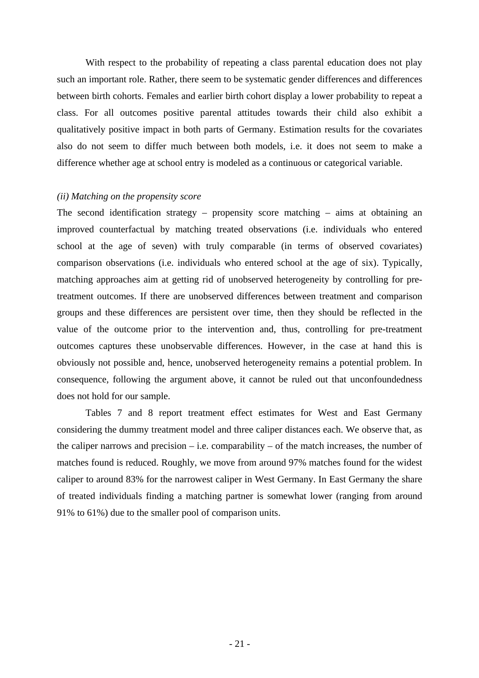With respect to the probability of repeating a class parental education does not play such an important role. Rather, there seem to be systematic gender differences and differences between birth cohorts. Females and earlier birth cohort display a lower probability to repeat a class. For all outcomes positive parental attitudes towards their child also exhibit a qualitatively positive impact in both parts of Germany. Estimation results for the covariates also do not seem to differ much between both models, i.e. it does not seem to make a difference whether age at school entry is modeled as a continuous or categorical variable.

## *(ii) Matching on the propensity score*

The second identification strategy – propensity score matching – aims at obtaining an improved counterfactual by matching treated observations (i.e. individuals who entered school at the age of seven) with truly comparable (in terms of observed covariates) comparison observations (i.e. individuals who entered school at the age of six). Typically, matching approaches aim at getting rid of unobserved heterogeneity by controlling for pretreatment outcomes. If there are unobserved differences between treatment and comparison groups and these differences are persistent over time, then they should be reflected in the value of the outcome prior to the intervention and, thus, controlling for pre-treatment outcomes captures these unobservable differences. However, in the case at hand this is obviously not possible and, hence, unobserved heterogeneity remains a potential problem. In consequence, following the argument above, it cannot be ruled out that unconfoundedness does not hold for our sample.

Tables 7 and 8 report treatment effect estimates for West and East Germany considering the dummy treatment model and three caliper distances each. We observe that, as the caliper narrows and precision – i.e. comparability – of the match increases, the number of matches found is reduced. Roughly, we move from around 97% matches found for the widest caliper to around 83% for the narrowest caliper in West Germany. In East Germany the share of treated individuals finding a matching partner is somewhat lower (ranging from around 91% to 61%) due to the smaller pool of comparison units.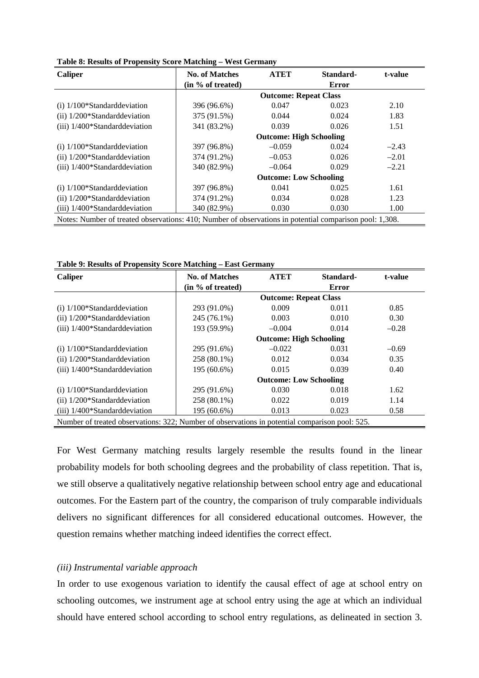| Caliper                                                                                                 | <b>No. of Matches</b>         | <b>ATET</b>                    | Standard-    | t-value |  |  |
|---------------------------------------------------------------------------------------------------------|-------------------------------|--------------------------------|--------------|---------|--|--|
|                                                                                                         | (in % of treated)             |                                | <b>Error</b> |         |  |  |
|                                                                                                         |                               | <b>Outcome: Repeat Class</b>   |              |         |  |  |
| $(i)$ 1/100*Standard deviation                                                                          | 396 (96.6%)                   | 0.047                          | 0.023        | 2.10    |  |  |
| $(ii)$ 1/200*Standard deviation                                                                         | 375 (91.5%)                   | 0.044                          | 0.024        | 1.83    |  |  |
| (iii) 1/400*Standard deviation                                                                          | 341 (83.2%)                   | 0.039                          | 0.026        | 1.51    |  |  |
|                                                                                                         |                               | <b>Outcome: High Schooling</b> |              |         |  |  |
| $(i)$ 1/100*Standard deviation                                                                          | 397 (96.8%)                   | $-0.059$                       | 0.024        | $-2.43$ |  |  |
| $(ii)$ 1/200*Standard deviation                                                                         | 374 (91.2%)                   | $-0.053$                       | 0.026        | $-2.01$ |  |  |
| (iii) 1/400*Standarddeviation                                                                           | 340 (82.9%)                   | $-0.064$                       | 0.029        | $-2.21$ |  |  |
|                                                                                                         | <b>Outcome: Low Schooling</b> |                                |              |         |  |  |
| $(i)$ 1/100*Standard deviation                                                                          | 397 (96.8%)                   | 0.041                          | 0.025        | 1.61    |  |  |
| $(ii)$ 1/200*Standard deviation                                                                         | 374 (91.2%)                   | 0.034                          | 0.028        | 1.23    |  |  |
| $(iii)$ 1/400*Standard deviation                                                                        | 340 (82.9%)                   | 0.030                          | 0.030        | 1.00    |  |  |
| Notes: Number of treated observations: 410; Number of observations in potential comparison pool: 1,308. |                               |                                |              |         |  |  |

**Table 8: Results of Propensity Score Matching – West Germany** 

**Table 9: Results of Propensity Score Matching – East Germany** 

| <b>Caliper</b>                   | <b>No. of Matches</b>                                                                          | <b>ATET</b>                    | Standard-    | t-value |  |  |  |
|----------------------------------|------------------------------------------------------------------------------------------------|--------------------------------|--------------|---------|--|--|--|
|                                  | (in % of treated)                                                                              |                                | <b>Error</b> |         |  |  |  |
|                                  |                                                                                                | <b>Outcome: Repeat Class</b>   |              |         |  |  |  |
| $(i)$ 1/100*Standard deviation   | 293 (91.0%)                                                                                    | 0.009                          | 0.011        | 0.85    |  |  |  |
| $(ii)$ 1/200*Standard deviation  | 245 (76.1%)                                                                                    | 0.003                          | 0.010        | 0.30    |  |  |  |
| $(iii)$ 1/400*Standard deviation | 193 (59.9%)                                                                                    | $-0.004$                       | 0.014        | $-0.28$ |  |  |  |
|                                  |                                                                                                | <b>Outcome: High Schooling</b> |              |         |  |  |  |
| $(i)$ 1/100*Standard deviation   | 295 (91.6%)                                                                                    | $-0.022$                       | 0.031        | $-0.69$ |  |  |  |
| $(ii)$ 1/200*Standard deviation  | 258 (80.1%)                                                                                    | 0.012                          | 0.034        | 0.35    |  |  |  |
| $(iii)$ 1/400*Standard deviation | 195 (60.6%)                                                                                    | 0.015                          | 0.039        | 0.40    |  |  |  |
|                                  | <b>Outcome: Low Schooling</b>                                                                  |                                |              |         |  |  |  |
| $(i)$ 1/100*Standard deviation   | 295 (91.6%)                                                                                    | 0.030                          | 0.018        | 1.62    |  |  |  |
| $(ii)$ 1/200*Standard deviation  | 258 (80.1%)                                                                                    | 0.022                          | 0.019        | 1.14    |  |  |  |
| (iii) 1/400*Standarddeviation    | 195 (60.6%)                                                                                    | 0.013                          | 0.023        | 0.58    |  |  |  |
|                                  | Number of treated observations: 322; Number of observations in potential comparison pool: 525. |                                |              |         |  |  |  |

For West Germany matching results largely resemble the results found in the linear probability models for both schooling degrees and the probability of class repetition. That is, we still observe a qualitatively negative relationship between school entry age and educational outcomes. For the Eastern part of the country, the comparison of truly comparable individuals delivers no significant differences for all considered educational outcomes. However, the question remains whether matching indeed identifies the correct effect.

#### *(iii) Instrumental variable approach*

In order to use exogenous variation to identify the causal effect of age at school entry on schooling outcomes, we instrument age at school entry using the age at which an individual should have entered school according to school entry regulations, as delineated in section 3.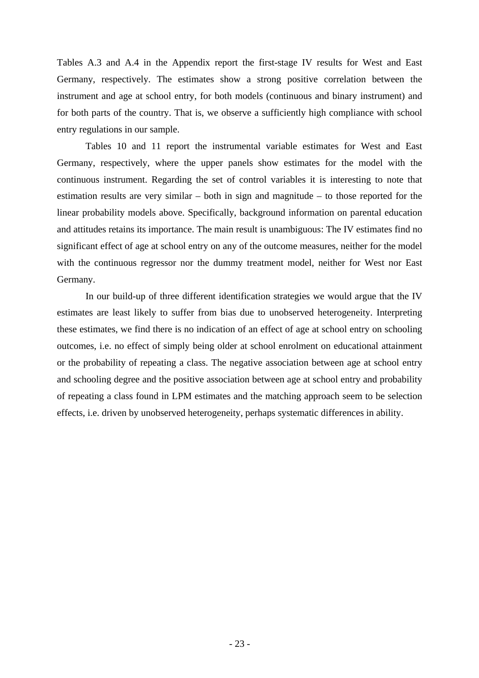Tables A.3 and A.4 in the Appendix report the first-stage IV results for West and East Germany, respectively. The estimates show a strong positive correlation between the instrument and age at school entry, for both models (continuous and binary instrument) and for both parts of the country. That is, we observe a sufficiently high compliance with school entry regulations in our sample.

Tables 10 and 11 report the instrumental variable estimates for West and East Germany, respectively, where the upper panels show estimates for the model with the continuous instrument. Regarding the set of control variables it is interesting to note that estimation results are very similar – both in sign and magnitude – to those reported for the linear probability models above. Specifically, background information on parental education and attitudes retains its importance. The main result is unambiguous: The IV estimates find no significant effect of age at school entry on any of the outcome measures, neither for the model with the continuous regressor nor the dummy treatment model, neither for West nor East Germany.

In our build-up of three different identification strategies we would argue that the IV estimates are least likely to suffer from bias due to unobserved heterogeneity. Interpreting these estimates, we find there is no indication of an effect of age at school entry on schooling outcomes, i.e. no effect of simply being older at school enrolment on educational attainment or the probability of repeating a class. The negative association between age at school entry and schooling degree and the positive association between age at school entry and probability of repeating a class found in LPM estimates and the matching approach seem to be selection effects, i.e. driven by unobserved heterogeneity, perhaps systematic differences in ability.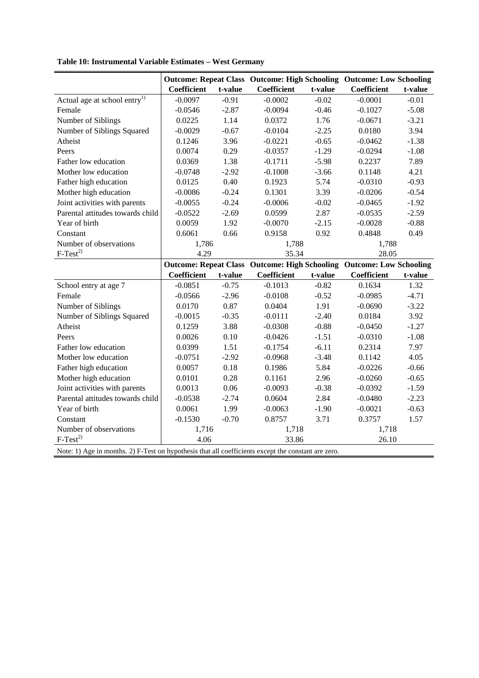| Table 10: Instrumental Variable Estimates - West Germany |  |  |
|----------------------------------------------------------|--|--|
|----------------------------------------------------------|--|--|

|                                                                                                     |                    |         |                                                                             |         | <b>Outcome: Repeat Class Outcome: High Schooling Outcome: Low Schooling</b> |         |
|-----------------------------------------------------------------------------------------------------|--------------------|---------|-----------------------------------------------------------------------------|---------|-----------------------------------------------------------------------------|---------|
|                                                                                                     | <b>Coefficient</b> | t-value | <b>Coefficient</b>                                                          | t-value | Coefficient                                                                 | t-value |
| Actual age at school entry <sup>1)</sup>                                                            | $-0.0097$          | $-0.91$ | $-0.0002$                                                                   | $-0.02$ | $-0.0001$                                                                   | $-0.01$ |
| Female                                                                                              | $-0.0546$          | $-2.87$ | $-0.0094$                                                                   | $-0.46$ | $-0.1027$                                                                   | $-5.08$ |
| Number of Siblings                                                                                  | 0.0225             | 1.14    | 0.0372                                                                      | 1.76    |                                                                             | $-3.21$ |
| Number of Siblings Squared                                                                          | $-0.0029$          | $-0.67$ | $-0.0104$                                                                   | $-2.25$ | 0.0180                                                                      | 3.94    |
| Atheist                                                                                             | 0.1246             | 3.96    | $-0.0221$                                                                   | $-0.65$ | $-0.0462$                                                                   | $-1.38$ |
| Peers                                                                                               | 0.0074             | 0.29    | $-0.0357$                                                                   | $-1.29$ | $-0.0294$                                                                   | $-1.08$ |
| Father low education                                                                                | 0.0369             | 1.38    | $-0.1711$                                                                   | $-5.98$ | 0.2237                                                                      | 7.89    |
| Mother low education                                                                                | $-0.0748$          | $-2.92$ | $-0.1008$                                                                   | $-3.66$ | 0.1148                                                                      | 4.21    |
| Father high education                                                                               | 0.0125             | 0.40    | 0.1923                                                                      | 5.74    | $-0.0310$                                                                   | $-0.93$ |
| Mother high education                                                                               | $-0.0086$          | $-0.24$ | 0.1301                                                                      | 3.39    | $-0.0206$                                                                   | $-0.54$ |
| Joint activities with parents                                                                       | $-0.0055$          | $-0.24$ | $-0.0006$                                                                   | $-0.02$ | $-0.0465$                                                                   | $-1.92$ |
| Parental attitudes towards child                                                                    | $-0.0522$          | $-2.69$ | 0.0599                                                                      | 2.87    | $-0.0535$                                                                   | $-2.59$ |
| Year of birth                                                                                       | 0.0059             | 1.92    | $-0.0070$                                                                   | $-2.15$ | $-0.0028$                                                                   | $-0.88$ |
| Constant                                                                                            | 0.6061             | 0.66    | 0.9158                                                                      | 0.92    | 0.4848                                                                      | 0.49    |
| Number of observations                                                                              | 1,786              |         | 1,788                                                                       |         | 1,788                                                                       |         |
| $F-Test^{2)}$                                                                                       | 4.29               |         | 35.34                                                                       |         | 28.05                                                                       |         |
|                                                                                                     |                    |         | <b>Outcome: Repeat Class Outcome: High Schooling Outcome: Low Schooling</b> |         |                                                                             |         |
|                                                                                                     | Coefficient        | t-value | Coefficient                                                                 | t-value | Coefficient                                                                 | t-value |
| School entry at age 7                                                                               | $-0.0851$          | $-0.75$ | $-0.1013$                                                                   | $-0.82$ | 0.1634                                                                      | 1.32    |
| Female                                                                                              | $-0.0566$          | $-2.96$ | $-0.0108$                                                                   | $-0.52$ | $-0.0985$                                                                   | $-4.71$ |
| Number of Siblings                                                                                  | 0.0170             | 0.87    | 0.0404                                                                      | 1.91    | $-0.0690$                                                                   | $-3.22$ |
| Number of Siblings Squared                                                                          | $-0.0015$          | $-0.35$ | $-0.0111$                                                                   | $-2.40$ | 0.0184                                                                      | 3.92    |
| Atheist                                                                                             | 0.1259             | 3.88    | $-0.0308$                                                                   | $-0.88$ | $-0.0450$                                                                   | $-1.27$ |
| Peers                                                                                               | 0.0026             | 0.10    | $-0.0426$                                                                   | $-1.51$ | $-0.0310$                                                                   | $-1.08$ |
| Father low education                                                                                | 0.0399             | 1.51    | $-0.1754$                                                                   | $-6.11$ | 0.2314                                                                      | 7.97    |
| Mother low education                                                                                | $-0.0751$          | $-2.92$ | $-0.0968$                                                                   | $-3.48$ | 0.1142                                                                      | 4.05    |
| Father high education                                                                               | 0.0057             | 0.18    | 0.1986                                                                      | 5.84    | $-0.0226$                                                                   | $-0.66$ |
| Mother high education                                                                               | 0.0101             | 0.28    | 0.1161                                                                      | 2.96    | $-0.0260$                                                                   | $-0.65$ |
| Joint activities with parents                                                                       | 0.0013             | 0.06    | $-0.0093$                                                                   | $-0.38$ | $-0.0392$                                                                   | $-1.59$ |
| Parental attitudes towards child                                                                    | $-0.0538$          | $-2.74$ | 0.0604                                                                      | 2.84    | $-0.0480$                                                                   | $-2.23$ |
| Year of birth                                                                                       | 0.0061             | 1.99    | $-0.0063$                                                                   | $-1.90$ | $-0.0021$                                                                   | $-0.63$ |
| Constant                                                                                            | $-0.1530$          | $-0.70$ | 0.8757                                                                      | 3.71    | 0.3757                                                                      | 1.57    |
| Number of observations                                                                              | 1,716              |         | 1,718                                                                       |         | 1,718                                                                       |         |
| $F-Test^{2)}$                                                                                       | 4.06               |         | 33.86                                                                       |         | 26.10                                                                       |         |
| Note: 1) Age in months. 2) F-Test on hypothesis that all coefficients except the constant are zero. |                    |         |                                                                             |         |                                                                             |         |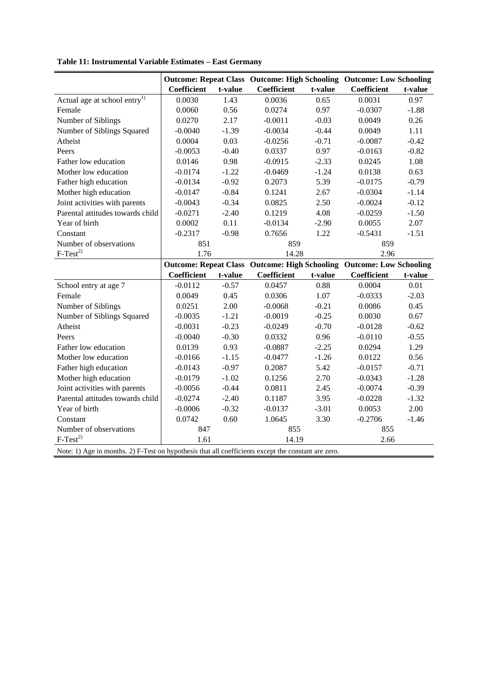|                                                                                                     |                    |         |                                                                      |         | <b>Outcome: Repeat Class Outcome: High Schooling Outcome: Low Schooling</b> |         |
|-----------------------------------------------------------------------------------------------------|--------------------|---------|----------------------------------------------------------------------|---------|-----------------------------------------------------------------------------|---------|
|                                                                                                     | <b>Coefficient</b> | t-value | Coefficient                                                          | t-value | Coefficient                                                                 | t-value |
| Actual age at school entry <sup>1)</sup>                                                            | 0.0030             | 1.43    | 0.0036                                                               | 0.65    | 0.0031                                                                      | 0.97    |
| Female                                                                                              | 0.0060             | 0.56    | 0.0274                                                               | 0.97    | $-0.0307$                                                                   | $-1.88$ |
| Number of Siblings                                                                                  | 0.0270             | 2.17    | $-0.0011$                                                            | $-0.03$ | 0.0049                                                                      | 0.26    |
| Number of Siblings Squared                                                                          | $-0.0040$          | $-1.39$ | $-0.0034$                                                            | $-0.44$ | 0.0049                                                                      | 1.11    |
| Atheist                                                                                             | 0.0004             | 0.03    | $-0.0256$                                                            | $-0.71$ | $-0.0087$                                                                   | $-0.42$ |
| Peers                                                                                               | $-0.0053$          | $-0.40$ | 0.0337                                                               | 0.97    | $-0.0163$                                                                   | $-0.82$ |
| Father low education                                                                                | 0.0146             | 0.98    | $-0.0915$                                                            | $-2.33$ | 0.0245                                                                      | 1.08    |
| Mother low education                                                                                | $-0.0174$          | $-1.22$ | $-0.0469$                                                            | $-1.24$ | 0.0138                                                                      | 0.63    |
| Father high education                                                                               | $-0.0134$          | $-0.92$ | 0.2073                                                               | 5.39    | $-0.0175$                                                                   | $-0.79$ |
| Mother high education                                                                               | $-0.0147$          | $-0.84$ | 0.1241                                                               | 2.67    | $-0.0304$                                                                   | $-1.14$ |
| Joint activities with parents                                                                       | $-0.0043$          | $-0.34$ | 0.0825                                                               | 2.50    | $-0.0024$                                                                   | $-0.12$ |
| Parental attitudes towards child                                                                    | $-0.0271$          | $-2.40$ | 0.1219                                                               | 4.08    | $-0.0259$                                                                   | $-1.50$ |
| Year of birth                                                                                       | 0.0002             | 0.11    | $-0.0134$                                                            | $-2.90$ | 0.0055                                                                      | 2.07    |
| Constant                                                                                            | $-0.2317$          | $-0.98$ | 0.7656                                                               | 1.22    | $-0.5431$                                                                   | $-1.51$ |
| Number of observations                                                                              | 851                |         | 859                                                                  |         | 859                                                                         |         |
| $F-Test^{2)}$                                                                                       | 1.76               |         | 14.28                                                                |         | 2.96                                                                        |         |
|                                                                                                     |                    |         | Outcome: Repeat Class Outcome: High Schooling Outcome: Low Schooling |         |                                                                             |         |
|                                                                                                     | <b>Coefficient</b> | t-value | Coefficient                                                          | t-value | <b>Coefficient</b>                                                          | t-value |
| School entry at age 7                                                                               | $-0.0112$          | $-0.57$ | 0.0457                                                               | 0.88    | 0.0004                                                                      | 0.01    |
| Female                                                                                              | 0.0049             | 0.45    | 0.0306                                                               | 1.07    | $-0.0333$                                                                   | $-2.03$ |
| Number of Siblings                                                                                  | 0.0251             | 2.00    | $-0.0068$                                                            | $-0.21$ | 0.0086                                                                      | 0.45    |
| Number of Siblings Squared                                                                          | $-0.0035$          | $-1.21$ | $-0.0019$                                                            | $-0.25$ | 0.0030                                                                      | 0.67    |
| Atheist                                                                                             | $-0.0031$          | $-0.23$ | $-0.0249$                                                            | $-0.70$ | $-0.0128$                                                                   | $-0.62$ |
| Peers                                                                                               | $-0.0040$          | $-0.30$ | 0.0332                                                               | 0.96    | $-0.0110$                                                                   | $-0.55$ |
| Father low education                                                                                | 0.0139             | 0.93    | $-0.0887$                                                            | $-2.25$ | 0.0294                                                                      | 1.29    |
| Mother low education                                                                                | $-0.0166$          | $-1.15$ | $-0.0477$                                                            | $-1.26$ | 0.0122                                                                      | 0.56    |
| Father high education                                                                               | $-0.0143$          | $-0.97$ | 0.2087                                                               | 5.42    | $-0.0157$                                                                   | $-0.71$ |
| Mother high education                                                                               | $-0.0179$          | $-1.02$ | 0.1256                                                               | 2.70    | $-0.0343$                                                                   | $-1.28$ |
| Joint activities with parents                                                                       | $-0.0056$          | $-0.44$ | 0.0811                                                               | 2.45    | $-0.0074$                                                                   | $-0.39$ |
| Parental attitudes towards child                                                                    | $-0.0274$          | $-2.40$ | 0.1187                                                               | 3.95    | $-0.0228$                                                                   | $-1.32$ |
| Year of birth                                                                                       | $-0.0006$          | $-0.32$ | $-0.0137$                                                            | $-3.01$ | 0.0053                                                                      | 2.00    |
| Constant                                                                                            | 0.0742             | 0.60    | 1.0645                                                               | 3.30    | $-0.2706$                                                                   | $-1.46$ |
| Number of observations                                                                              | 847                |         | 855                                                                  |         | 855                                                                         |         |
| $F-Test^{2)}$                                                                                       | 1.61               |         | 14.19                                                                |         | 2.66                                                                        |         |
| Note: 1) Age in months. 2) F-Test on hypothesis that all coefficients except the constant are zero. |                    |         |                                                                      |         |                                                                             |         |

**Table 11: Instrumental Variable Estimates – East Germany**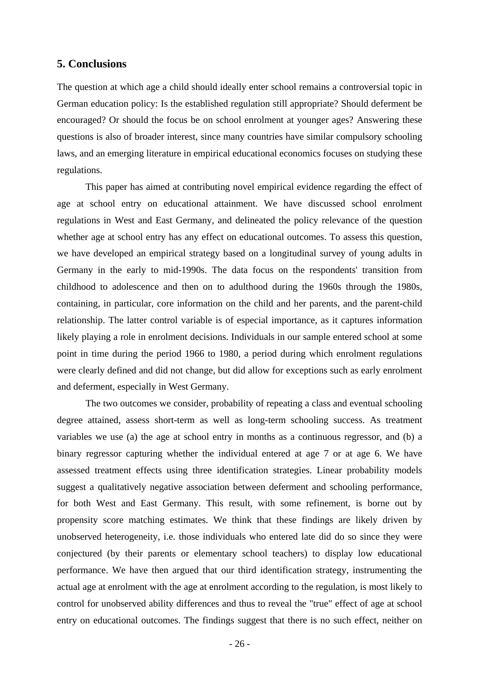## **5. Conclusions**

The question at which age a child should ideally enter school remains a controversial topic in German education policy: Is the established regulation still appropriate? Should deferment be encouraged? Or should the focus be on school enrolment at younger ages? Answering these questions is also of broader interest, since many countries have similar compulsory schooling laws, and an emerging literature in empirical educational economics focuses on studying these regulations.

This paper has aimed at contributing novel empirical evidence regarding the effect of age at school entry on educational attainment. We have discussed school enrolment regulations in West and East Germany, and delineated the policy relevance of the question whether age at school entry has any effect on educational outcomes. To assess this question, we have developed an empirical strategy based on a longitudinal survey of young adults in Germany in the early to mid-1990s. The data focus on the respondents' transition from childhood to adolescence and then on to adulthood during the 1960s through the 1980s, containing, in particular, core information on the child and her parents, and the parent-child relationship. The latter control variable is of especial importance, as it captures information likely playing a role in enrolment decisions. Individuals in our sample entered school at some point in time during the period 1966 to 1980, a period during which enrolment regulations were clearly defined and did not change, but did allow for exceptions such as early enrolment and deferment, especially in West Germany.

 The two outcomes we consider, probability of repeating a class and eventual schooling degree attained, assess short-term as well as long-term schooling success. As treatment variables we use (a) the age at school entry in months as a continuous regressor, and (b) a binary regressor capturing whether the individual entered at age 7 or at age 6. We have assessed treatment effects using three identification strategies. Linear probability models suggest a qualitatively negative association between deferment and schooling performance, for both West and East Germany. This result, with some refinement, is borne out by propensity score matching estimates. We think that these findings are likely driven by unobserved heterogeneity, i.e. those individuals who entered late did do so since they were conjectured (by their parents or elementary school teachers) to display low educational performance. We have then argued that our third identification strategy, instrumenting the actual age at enrolment with the age at enrolment according to the regulation, is most likely to control for unobserved ability differences and thus to reveal the "true" effect of age at school entry on educational outcomes. The findings suggest that there is no such effect, neither on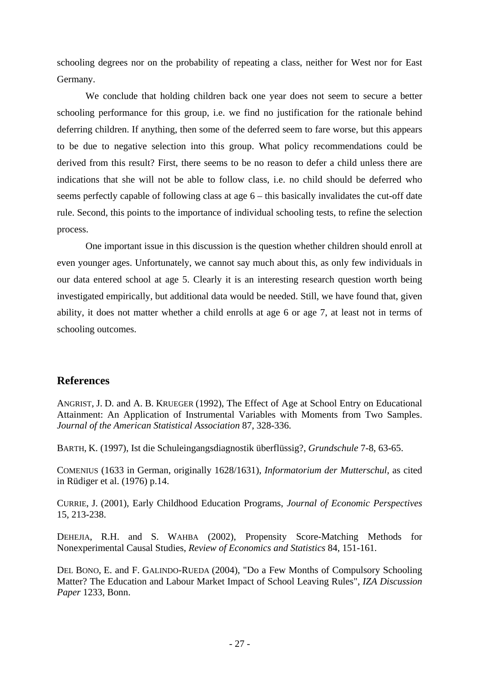schooling degrees nor on the probability of repeating a class, neither for West nor for East Germany.

 We conclude that holding children back one year does not seem to secure a better schooling performance for this group, i.e. we find no justification for the rationale behind deferring children. If anything, then some of the deferred seem to fare worse, but this appears to be due to negative selection into this group. What policy recommendations could be derived from this result? First, there seems to be no reason to defer a child unless there are indications that she will not be able to follow class, i.e. no child should be deferred who seems perfectly capable of following class at age 6 – this basically invalidates the cut-off date rule. Second, this points to the importance of individual schooling tests, to refine the selection process.

One important issue in this discussion is the question whether children should enroll at even younger ages. Unfortunately, we cannot say much about this, as only few individuals in our data entered school at age 5. Clearly it is an interesting research question worth being investigated empirically, but additional data would be needed. Still, we have found that, given ability, it does not matter whether a child enrolls at age 6 or age 7, at least not in terms of schooling outcomes.

# **References**

ANGRIST, J. D. and A. B. KRUEGER (1992), The Effect of Age at School Entry on Educational Attainment: An Application of Instrumental Variables with Moments from Two Samples. *Journal of the American Statistical Association* 87, 328-336.

BARTH, K. (1997), Ist die Schuleingangsdiagnostik überflüssig?, *Grundschule* 7-8, 63-65.

COMENIUS (1633 in German, originally 1628/1631), *Informatorium der Mutterschul*, as cited in Rüdiger et al. (1976) p.14.

CURRIE, J. (2001), Early Childhood Education Programs, *Journal of Economic Perspectives*  15, 213-238.

DEHEJIA, R.H. and S. WAHBA (2002), Propensity Score-Matching Methods for Nonexperimental Causal Studies, *Review of Economics and Statistics* 84, 151-161.

DEL BONO, E. and F. GALINDO-RUEDA (2004), "Do a Few Months of Compulsory Schooling Matter? The Education and Labour Market Impact of School Leaving Rules", *IZA Discussion Paper* 1233, Bonn.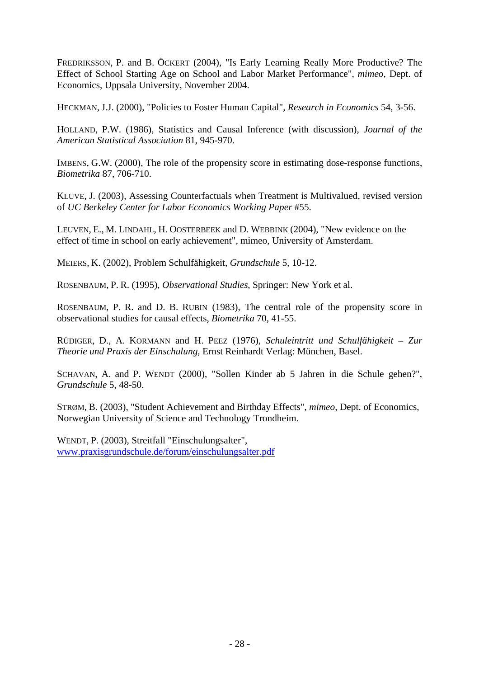FREDRIKSSON, P. and B. ÖCKERT (2004), "Is Early Learning Really More Productive? The Effect of School Starting Age on School and Labor Market Performance", *mimeo*, Dept. of Economics, Uppsala University, November 2004.

HECKMAN, J.J. (2000), "Policies to Foster Human Capital", *Research in Economics* 54, 3-56.

HOLLAND, P.W. (1986), Statistics and Causal Inference (with discussion), *Journal of the American Statistical Association* 81, 945-970.

IMBENS, G.W. (2000), The role of the propensity score in estimating dose-response functions, *Biometrika* 87, 706-710.

KLUVE, J. (2003), Assessing Counterfactuals when Treatment is Multivalued, revised version of *UC Berkeley Center for Labor Economics Working Paper* #55.

LEUVEN, E., M. LINDAHL, H. OOSTERBEEK and D. WEBBINK (2004), "New evidence on the effect of time in school on early achievement", mimeo, University of Amsterdam.

MEIERS, K. (2002), Problem Schulfähigkeit, *Grundschule* 5, 10-12.

ROSENBAUM, P. R. (1995), *Observational Studies*, Springer: New York et al.

ROSENBAUM, P. R. and D. B. RUBIN (1983), The central role of the propensity score in observational studies for causal effects, *Biometrika* 70, 41-55.

RÜDIGER, D., A. KORMANN and H. PEEZ (1976), *Schuleintritt und Schulfähigkeit – Zur Theorie und Praxis der Einschulung*, Ernst Reinhardt Verlag: München, Basel.

SCHAVAN, A. and P. WENDT (2000), "Sollen Kinder ab 5 Jahren in die Schule gehen?", *Grundschule* 5, 48-50.

STRØM, B. (2003), "Student Achievement and Birthday Effects", *mimeo*, Dept. of Economics, Norwegian University of Science and Technology Trondheim.

WENDT, P. (2003), Streitfall "Einschulungsalter", www.praxisgrundschule.de/forum/einschulungsalter.pdf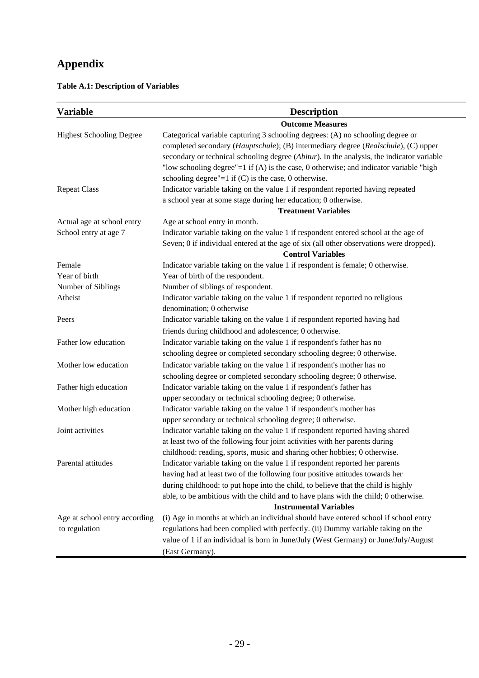# **Appendix**

**Table A.1: Description of Variables** 

| <b>Variable</b>                 | <b>Description</b>                                                                        |  |  |  |  |  |
|---------------------------------|-------------------------------------------------------------------------------------------|--|--|--|--|--|
|                                 | <b>Outcome Measures</b>                                                                   |  |  |  |  |  |
| <b>Highest Schooling Degree</b> | Categorical variable capturing 3 schooling degrees: (A) no schooling degree or            |  |  |  |  |  |
|                                 | completed secondary (Hauptschule); (B) intermediary degree (Realschule), (C) upper        |  |  |  |  |  |
|                                 | secondary or technical schooling degree (Abitur). In the analysis, the indicator variable |  |  |  |  |  |
|                                 | "low schooling degree"=1 if (A) is the case, 0 otherwise; and indicator variable "high    |  |  |  |  |  |
|                                 | schooling degree"= $1$ if (C) is the case, 0 otherwise.                                   |  |  |  |  |  |
| <b>Repeat Class</b>             | Indicator variable taking on the value 1 if respondent reported having repeated           |  |  |  |  |  |
|                                 | a school year at some stage during her education; 0 otherwise.                            |  |  |  |  |  |
|                                 | <b>Treatment Variables</b>                                                                |  |  |  |  |  |
| Actual age at school entry      | Age at school entry in month.                                                             |  |  |  |  |  |
| School entry at age 7           | Indicator variable taking on the value 1 if respondent entered school at the age of       |  |  |  |  |  |
|                                 | Seven; 0 if individual entered at the age of six (all other observations were dropped).   |  |  |  |  |  |
|                                 | <b>Control Variables</b>                                                                  |  |  |  |  |  |
| Female                          | Indicator variable taking on the value 1 if respondent is female; 0 otherwise.            |  |  |  |  |  |
| Year of birth                   | Year of birth of the respondent.                                                          |  |  |  |  |  |
| Number of Siblings              | Number of siblings of respondent.                                                         |  |  |  |  |  |
| Atheist                         | Indicator variable taking on the value 1 if respondent reported no religious              |  |  |  |  |  |
|                                 | denomination; 0 otherwise                                                                 |  |  |  |  |  |
| Peers                           | Indicator variable taking on the value 1 if respondent reported having had                |  |  |  |  |  |
|                                 | friends during childhood and adolescence; 0 otherwise.                                    |  |  |  |  |  |
| Father low education            | Indicator variable taking on the value 1 if respondent's father has no                    |  |  |  |  |  |
|                                 | schooling degree or completed secondary schooling degree; 0 otherwise.                    |  |  |  |  |  |
| Mother low education            | Indicator variable taking on the value 1 if respondent's mother has no                    |  |  |  |  |  |
|                                 | schooling degree or completed secondary schooling degree; 0 otherwise.                    |  |  |  |  |  |
| Father high education           | Indicator variable taking on the value 1 if respondent's father has                       |  |  |  |  |  |
|                                 | upper secondary or technical schooling degree; 0 otherwise.                               |  |  |  |  |  |
| Mother high education           | Indicator variable taking on the value 1 if respondent's mother has                       |  |  |  |  |  |
|                                 | upper secondary or technical schooling degree; 0 otherwise.                               |  |  |  |  |  |
| Joint activities                | Indicator variable taking on the value 1 if respondent reported having shared             |  |  |  |  |  |
|                                 | at least two of the following four joint activities with her parents during               |  |  |  |  |  |
|                                 | childhood: reading, sports, music and sharing other hobbies; 0 otherwise.                 |  |  |  |  |  |
| Parental attitudes              | Indicator variable taking on the value 1 if respondent reported her parents               |  |  |  |  |  |
|                                 | having had at least two of the following four positive attitudes towards her              |  |  |  |  |  |
|                                 | during childhood: to put hope into the child, to believe that the child is highly         |  |  |  |  |  |
|                                 | able, to be ambitious with the child and to have plans with the child; 0 otherwise.       |  |  |  |  |  |
|                                 | <b>Instrumental Variables</b>                                                             |  |  |  |  |  |
| Age at school entry according   | (i) Age in months at which an individual should have entered school if school entry       |  |  |  |  |  |
| to regulation                   | regulations had been complied with perfectly. (ii) Dummy variable taking on the           |  |  |  |  |  |
|                                 | value of 1 if an individual is born in June/July (West Germany) or June/July/August       |  |  |  |  |  |
|                                 | (East Germany).                                                                           |  |  |  |  |  |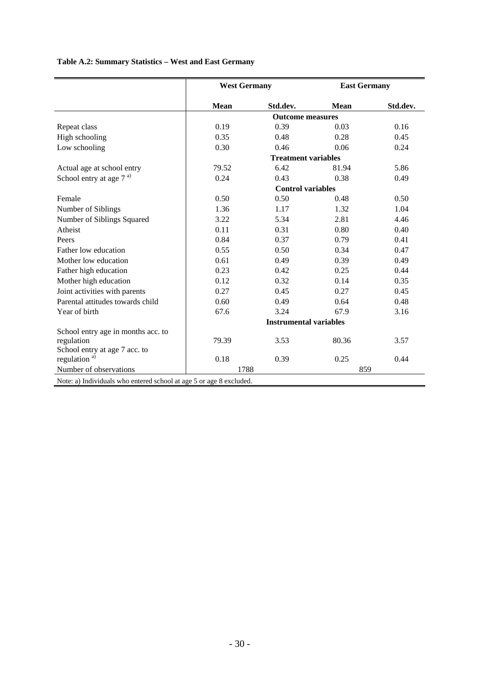# **Table A.2: Summary Statistics – West and East Germany**

| Std.dev.<br>0.16<br>0.45 |
|--------------------------|
|                          |
|                          |
|                          |
|                          |
| 0.24                     |
|                          |
| 5.86                     |
| 0.49                     |
|                          |
| 0.50                     |
| 1.04                     |
| 4.46                     |
| 0.40                     |
| 0.41                     |
| 0.47                     |
| 0.49                     |
| 0.44                     |
| 0.35                     |
| 0.45                     |
| 0.48                     |
| 3.16                     |
|                          |
|                          |
| 3.57                     |
|                          |
| 0.44                     |
|                          |
|                          |

Note: a) Individuals who entered school at age 5 or age 8 excluded.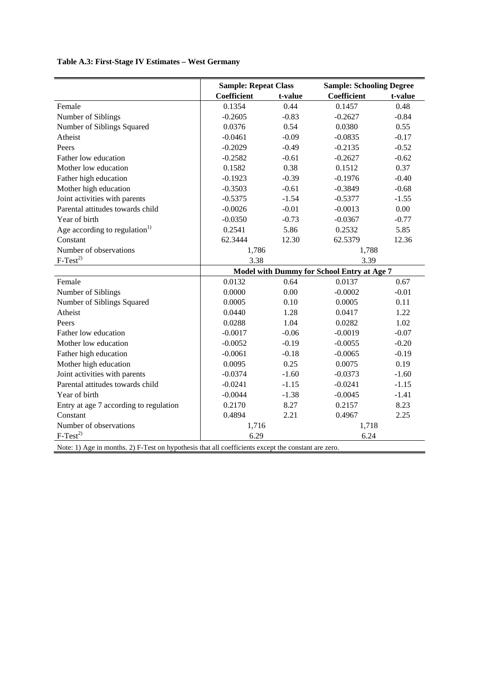# **Table A.3: First-Stage IV Estimates – West Germany**

|                                                                                                        | <b>Sample: Repeat Class</b>                |         | <b>Sample: Schooling Degree</b> |         |  |
|--------------------------------------------------------------------------------------------------------|--------------------------------------------|---------|---------------------------------|---------|--|
|                                                                                                        | Coefficient                                | t-value | <b>Coefficient</b>              | t-value |  |
| Female                                                                                                 | 0.1354                                     | 0.44    | 0.1457                          | 0.48    |  |
| Number of Siblings                                                                                     | $-0.2605$                                  | $-0.83$ | $-0.2627$                       | $-0.84$ |  |
| Number of Siblings Squared                                                                             | 0.0376                                     | 0.54    | 0.0380                          | 0.55    |  |
| Atheist                                                                                                | $-0.0461$                                  | $-0.09$ | $-0.0835$                       | $-0.17$ |  |
| Peers                                                                                                  | $-0.2029$                                  | $-0.49$ | $-0.2135$                       | $-0.52$ |  |
| Father low education                                                                                   | $-0.2582$                                  | $-0.61$ | $-0.2627$                       | $-0.62$ |  |
| Mother low education                                                                                   | 0.1582                                     | 0.38    | 0.1512                          | 0.37    |  |
| Father high education                                                                                  | $-0.1923$                                  | $-0.39$ | $-0.1976$                       | $-0.40$ |  |
| Mother high education                                                                                  | $-0.3503$                                  | $-0.61$ | $-0.3849$                       | $-0.68$ |  |
| Joint activities with parents                                                                          | $-0.5375$                                  | $-1.54$ | $-0.5377$                       | $-1.55$ |  |
| Parental attitudes towards child                                                                       | $-0.0026$                                  | $-0.01$ | $-0.0013$                       | 0.00    |  |
| Year of birth                                                                                          | $-0.0350$                                  | $-0.73$ | $-0.0367$                       | $-0.77$ |  |
| Age according to regulation <sup>1)</sup>                                                              | 0.2541                                     | 5.86    | 0.2532                          | 5.85    |  |
| Constant                                                                                               | 62.3444                                    | 12.30   | 62.5379                         | 12.36   |  |
| Number of observations                                                                                 | 1,786                                      |         | 1,788                           |         |  |
| $F-Test^{2)}$                                                                                          | 3.38                                       |         | 3.39                            |         |  |
|                                                                                                        | Model with Dummy for School Entry at Age 7 |         |                                 |         |  |
| Female                                                                                                 | 0.0132                                     | 0.64    | 0.0137                          | 0.67    |  |
| Number of Siblings                                                                                     | 0.0000                                     | 0.00    | $-0.0002$                       | $-0.01$ |  |
| Number of Siblings Squared                                                                             | 0.0005                                     | 0.10    | 0.0005                          | 0.11    |  |
| Atheist                                                                                                | 0.0440                                     | 1.28    | 0.0417                          | 1.22    |  |
| Peers                                                                                                  | 0.0288                                     | 1.04    | 0.0282                          | 1.02    |  |
| Father low education                                                                                   | $-0.0017$                                  | $-0.06$ | $-0.0019$                       | $-0.07$ |  |
| Mother low education                                                                                   | $-0.0052$                                  | $-0.19$ | $-0.0055$                       | $-0.20$ |  |
| Father high education                                                                                  | $-0.0061$                                  | $-0.18$ | $-0.0065$                       | $-0.19$ |  |
| Mother high education                                                                                  | 0.0095                                     | 0.25    | 0.0075                          | 0.19    |  |
| Joint activities with parents                                                                          | $-0.0374$                                  | $-1.60$ | $-0.0373$                       | $-1.60$ |  |
| Parental attitudes towards child                                                                       | $-0.0241$                                  | $-1.15$ | $-0.0241$                       | $-1.15$ |  |
| Year of birth                                                                                          | $-0.0044$                                  | $-1.38$ | $-0.0045$                       | $-1.41$ |  |
| Entry at age 7 according to regulation                                                                 | 0.2170                                     | 8.27    | 0.2157                          | 8.23    |  |
| Constant                                                                                               | 0.4894                                     | 2.21    | 0.4967                          | 2.25    |  |
| Number of observations                                                                                 | 1,716                                      |         | 1,718                           |         |  |
| $F-Test^{2)}$                                                                                          | 6.29                                       |         | 6.24                            |         |  |
| Note: 1) Ago in months, 2) $E$ Test on by nothering that all coefficients exacut the constant are zone |                                            |         |                                 |         |  |

Note: 1) Age in months. 2) F-Test on hypothesis that all coefficients except the constant are zero.